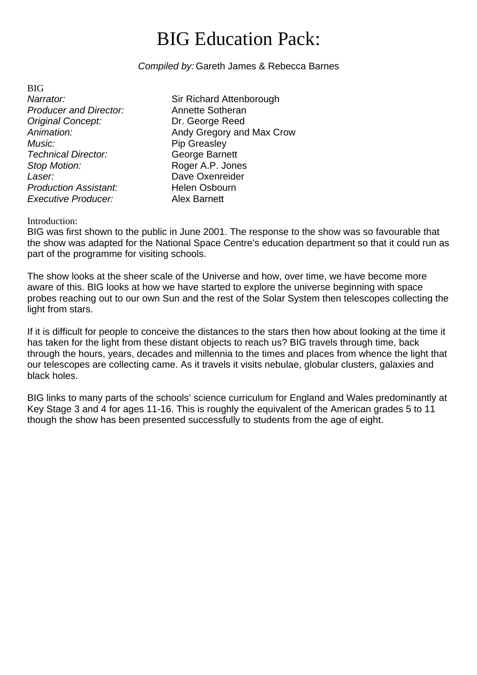# BIG Education Pack:

#### *Compiled by:* Gareth James & Rebecca Barnes

BIG *Producer and Director:* Annette Sotheran *Original Concept:* **Dr. George Reed** *Music:* Pip Greasley *Technical Director:* George Barnett **Stop Motion:** Roger A.P. Jones *Laser:* Dave Oxenreider **Production Assistant:** Helen Osbourn *Executive Producer:* Alex Barnett

**Narrator:** Sir Richard Attenborough Animation: **Animation:** Andy Gregory and Max Crow

#### Introduction:

BIG was first shown to the public in June 2001. The response to the show was so favourable that the show was adapted for the National Space Centre's education department so that it could run as part of the programme for visiting schools.

The show looks at the sheer scale of the Universe and how, over time, we have become more aware of this. BIG looks at how we have started to explore the universe beginning with space probes reaching out to our own Sun and the rest of the Solar System then telescopes collecting the light from stars.

If it is difficult for people to conceive the distances to the stars then how about looking at the time it has taken for the light from these distant objects to reach us? BIG travels through time, back through the hours, years, decades and millennia to the times and places from whence the light that our telescopes are collecting came. As it travels it visits nebulae, globular clusters, galaxies and black holes.

BIG links to many parts of the schools' science curriculum for England and Wales predominantly at Key Stage 3 and 4 for ages 11-16. This is roughly the equivalent of the American grades 5 to 11 though the show has been presented successfully to students from the age of eight.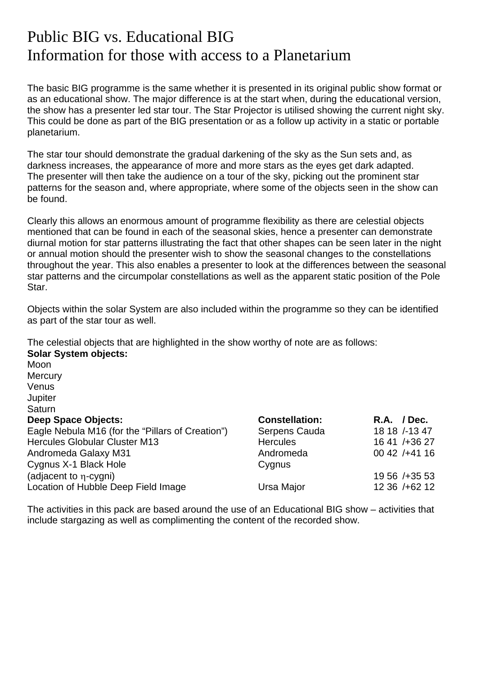# Public BIG vs. Educational BIG Information for those with access to a Planetarium

The basic BIG programme is the same whether it is presented in its original public show format or as an educational show. The major difference is at the start when, during the educational version, the show has a presenter led star tour. The Star Projector is utilised showing the current night sky. This could be done as part of the BIG presentation or as a follow up activity in a static or portable planetarium.

The star tour should demonstrate the gradual darkening of the sky as the Sun sets and, as darkness increases, the appearance of more and more stars as the eyes get dark adapted. The presenter will then take the audience on a tour of the sky, picking out the prominent star patterns for the season and, where appropriate, where some of the objects seen in the show can be found.

Clearly this allows an enormous amount of programme flexibility as there are celestial objects mentioned that can be found in each of the seasonal skies, hence a presenter can demonstrate diurnal motion for star patterns illustrating the fact that other shapes can be seen later in the night or annual motion should the presenter wish to show the seasonal changes to the constellations throughout the year. This also enables a presenter to look at the differences between the seasonal star patterns and the circumpolar constellations as well as the apparent static position of the Pole Star.

Objects within the solar System are also included within the programme so they can be identified as part of the star tour as well.

The celestial objects that are highlighted in the show worthy of note are as follows: **Solar System objects:**

| Moon                                             |                       |                 |
|--------------------------------------------------|-----------------------|-----------------|
| Mercury                                          |                       |                 |
| Venus                                            |                       |                 |
| Jupiter                                          |                       |                 |
| <b>Saturn</b>                                    |                       |                 |
| <b>Deep Space Objects:</b>                       | <b>Constellation:</b> | $R.A.$ / Dec.   |
| Eagle Nebula M16 (for the "Pillars of Creation") | Serpens Cauda         | 18 18 /-13 47   |
| <b>Hercules Globular Cluster M13</b>             | <b>Hercules</b>       | 16 41 / + 36 27 |
| Andromeda Galaxy M31                             | Andromeda             | $0042 / +4116$  |
| Cygnus X-1 Black Hole                            | Cygnus                |                 |
| (adjacent to η-cygni)                            |                       | 19 56 / + 35 53 |
| Location of Hubble Deep Field Image              | Ursa Major            | 12 36 / + 62 12 |
|                                                  |                       |                 |

The activities in this pack are based around the use of an Educational BIG show – activities that include stargazing as well as complimenting the content of the recorded show.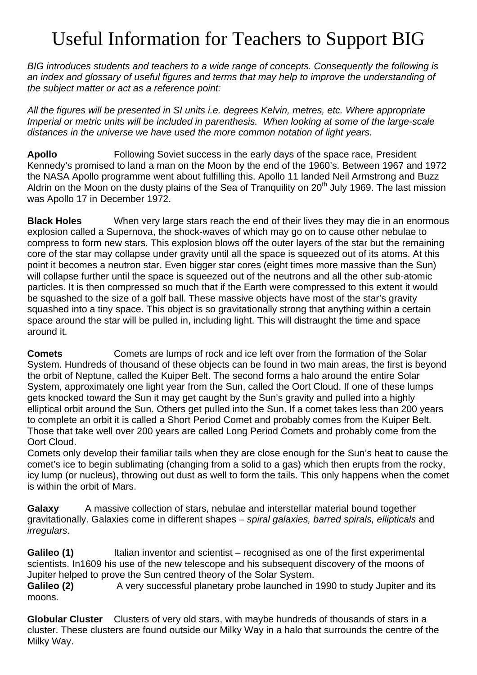# Useful Information for Teachers to Support BIG

*BIG introduces students and teachers to a wide range of concepts. Consequently the following is an index and glossary of useful figures and terms that may help to improve the understanding of the subject matter or act as a reference point:*

*All the figures will be presented in SI units i.e. degrees Kelvin, metres, etc. Where appropriate Imperial or metric units will be included in parenthesis. When looking at some of the large-scale distances in the universe we have used the more common notation of light years.*

**Apollo** Following Soviet success in the early days of the space race, President Kennedy's promised to land a man on the Moon by the end of the 1960's. Between 1967 and 1972 the NASA Apollo programme went about fulfilling this. Apollo 11 landed Neil Armstrong and Buzz Aldrin on the Moon on the dusty plains of the Sea of Tranquility on 20<sup>th</sup> July 1969. The last mission was Apollo 17 in December 1972.

**Black Holes** When very large stars reach the end of their lives they may die in an enormous explosion called a Supernova, the shock-waves of which may go on to cause other nebulae to compress to form new stars. This explosion blows off the outer layers of the star but the remaining core of the star may collapse under gravity until all the space is squeezed out of its atoms. At this point it becomes a neutron star. Even bigger star cores (eight times more massive than the Sun) will collapse further until the space is squeezed out of the neutrons and all the other sub-atomic particles. It is then compressed so much that if the Earth were compressed to this extent it would be squashed to the size of a golf ball. These massive objects have most of the star's gravity squashed into a tiny space. This object is so gravitationally strong that anything within a certain space around the star will be pulled in, including light. This will distraught the time and space around it.

**Comets** Comets are lumps of rock and ice left over from the formation of the Solar System. Hundreds of thousand of these objects can be found in two main areas, the first is beyond the orbit of Neptune, called the Kuiper Belt. The second forms a halo around the entire Solar System, approximately one light year from the Sun, called the Oort Cloud. If one of these lumps gets knocked toward the Sun it may get caught by the Sun's gravity and pulled into a highly elliptical orbit around the Sun. Others get pulled into the Sun. If a comet takes less than 200 years to complete an orbit it is called a Short Period Comet and probably comes from the Kuiper Belt. Those that take well over 200 years are called Long Period Comets and probably come from the Oort Cloud.

Comets only develop their familiar tails when they are close enough for the Sun's heat to cause the comet's ice to begin sublimating (changing from a solid to a gas) which then erupts from the rocky, icy lump (or nucleus), throwing out dust as well to form the tails. This only happens when the comet is within the orbit of Mars.

**Galaxy** A massive collection of stars, nebulae and interstellar material bound together gravitationally. Galaxies come in different shapes – *spiral galaxies, barred spirals, ellipticals* and *irregulars*.

Galileo (1) Italian inventor and scientist – recognised as one of the first experimental scientists. In1609 his use of the new telescope and his subsequent discovery of the moons of Jupiter helped to prove the Sun centred theory of the Solar System.

**Galileo (2)** A very successful planetary probe launched in 1990 to study Jupiter and its moons.

**Globular Cluster** Clusters of very old stars, with maybe hundreds of thousands of stars in a cluster. These clusters are found outside our Milky Way in a halo that surrounds the centre of the Milky Way.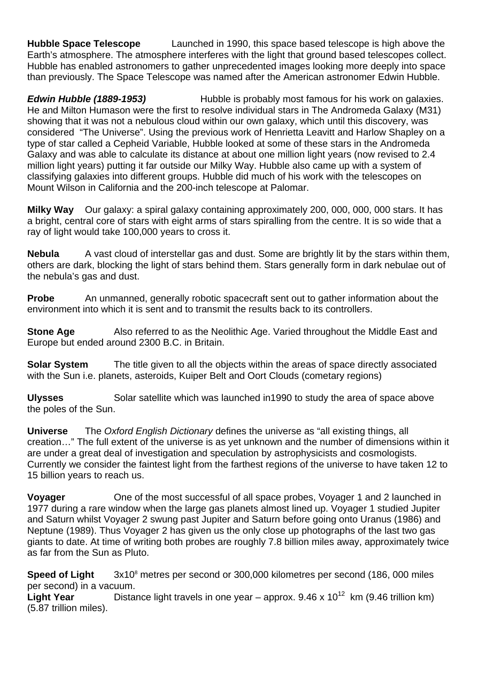**Hubble Space Telescope** Launched in 1990, this space based telescope is high above the Earth's atmosphere. The atmosphere interferes with the light that ground based telescopes collect. Hubble has enabled astronomers to gather unprecedented images looking more deeply into space than previously. The Space Telescope was named after the American astronomer Edwin Hubble.

**Edwin Hubble (1889-1953)** Hubble is probably most famous for his work on galaxies. He and Milton Humason were the first to resolve individual stars in The Andromeda Galaxy (M31) showing that it was not a nebulous cloud within our own galaxy, which until this discovery, was considered "The Universe". Using the previous work of Henrietta Leavitt and Harlow Shapley on a type of star called a Cepheid Variable, Hubble looked at some of these stars in the Andromeda Galaxy and was able to calculate its distance at about one million light years (now revised to 2.4 million light years) putting it far outside our Milky Way. Hubble also came up with a system of classifying galaxies into different groups. Hubble did much of his work with the telescopes on Mount Wilson in California and the 200-inch telescope at Palomar.

**Milky Way** Our galaxy: a spiral galaxy containing approximately 200, 000, 000, 000 stars. It has a bright, central core of stars with eight arms of stars spiralling from the centre. It is so wide that a ray of light would take 100,000 years to cross it.

**Nebula** A vast cloud of interstellar gas and dust. Some are brightly lit by the stars within them, others are dark, blocking the light of stars behind them. Stars generally form in dark nebulae out of the nebula's gas and dust.

**Probe** An unmanned, generally robotic spacecraft sent out to gather information about the environment into which it is sent and to transmit the results back to its controllers.

**Stone Age** Also referred to as the Neolithic Age. Varied throughout the Middle East and Europe but ended around 2300 B.C. in Britain.

**Solar System** The title given to all the objects within the areas of space directly associated with the Sun i.e. planets, asteroids, Kuiper Belt and Oort Clouds (cometary regions)

**Ulysses** Solar satellite which was launched in 1990 to study the area of space above the poles of the Sun.

**Universe** The *Oxford English Dictionary* defines the universe as "all existing things, all creation…" The full extent of the universe is as yet unknown and the number of dimensions within it are under a great deal of investigation and speculation by astrophysicists and cosmologists. Currently we consider the faintest light from the farthest regions of the universe to have taken 12 to 15 billion years to reach us.

**Voyager** One of the most successful of all space probes, Voyager 1 and 2 launched in 1977 during a rare window when the large gas planets almost lined up. Voyager 1 studied Jupiter and Saturn whilst Voyager 2 swung past Jupiter and Saturn before going onto Uranus (1986) and Neptune (1989). Thus Voyager 2 has given us the only close up photographs of the last two gas giants to date. At time of writing both probes are roughly 7.8 billion miles away, approximately twice as far from the Sun as Pluto.

**Speed of Light** 3x10<sup>8</sup> metres per second or 300,000 kilometres per second (186, 000 miles per second) in a vacuum.

Light Year<sup> Distance light travels in one year – approx. 9.46 x 10<sup>12</sup> km (9.46 trillion km)</sup> (5.87 trillion miles).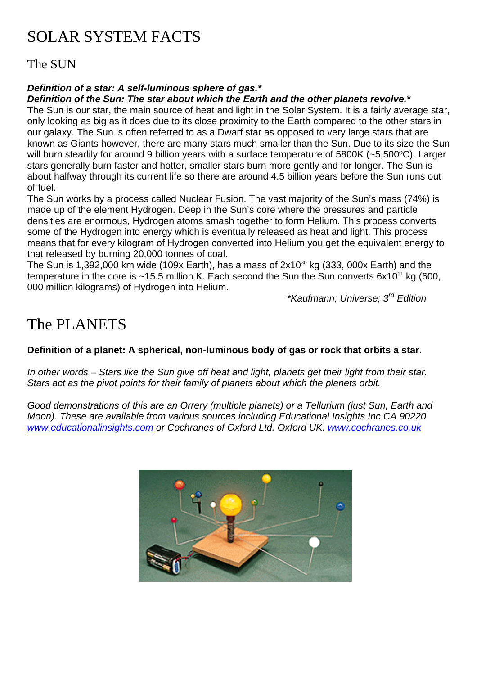# SOLAR SYSTEM FACTS

The SUN

### *Definition of a star: A self-luminous sphere of gas.\**

*Definition of the Sun: The star about which the Earth and the other planets revolve.\**

The Sun is our star, the main source of heat and light in the Solar System. It is a fairly average star, only looking as big as it does due to its close proximity to the Earth compared to the other stars in our galaxy. The Sun is often referred to as a Dwarf star as opposed to very large stars that are known as Giants however, there are many stars much smaller than the Sun. Due to its size the Sun will burn steadily for around 9 billion years with a surface temperature of 5800K (~5,500 °C). Larger stars generally burn faster and hotter, smaller stars burn more gently and for longer. The Sun is about halfway through its current life so there are around 4.5 billion years before the Sun runs out of fuel.

The Sun works by a process called Nuclear Fusion. The vast majority of the Sun's mass (74%) is made up of the element Hydrogen. Deep in the Sun's core where the pressures and particle densities are enormous, Hydrogen atoms smash together to form Helium. This process converts some of the Hydrogen into energy which is eventually released as heat and light. This process means that for every kilogram of Hydrogen converted into Helium you get the equivalent energy to that released by burning 20,000 tonnes of coal.

The Sun is 1,392,000 km wide (109x Earth), has a mass of  $2x10^{30}$  kg (333, 000x Earth) and the temperature in the core is  $\sim$ 15.5 million K. Each second the Sun the Sun converts 6x10<sup>11</sup> kg (600, 000 million kilograms) of Hydrogen into Helium.

*\*Kaufmann; Universe; 3rd Edition*

# The PLANETS

#### **Definition of a planet: A spherical, non-luminous body of gas or rock that orbits a star.**

*In other words – Stars like the Sun give off heat and light, planets get their light from their star. Stars act as the pivot points for their family of planets about which the planets orbit.* 

*Good demonstrations of this are an Orrery (multiple planets) or a Tellurium (just Sun, Earth and Moon). These are available from various sources including Educational Insights Inc CA 90220 [www.educationalinsights.com](http://www.educationalinsights.com/) or Cochranes of Oxford Ltd. Oxford UK. [www.cochranes.co.uk](http://www.cochranes.co.uk/)*

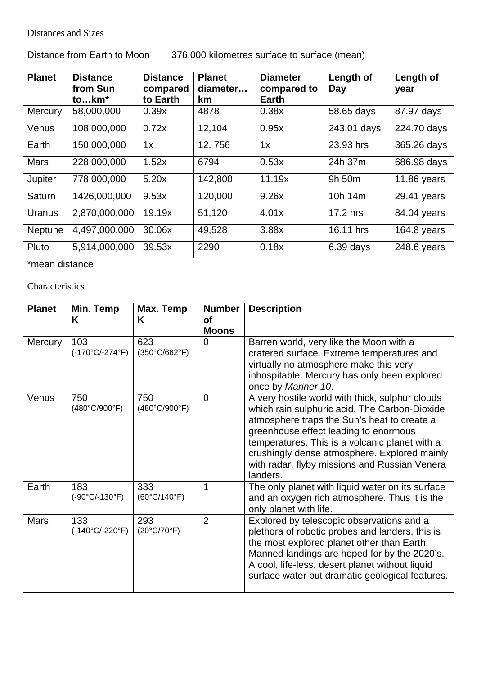Distances and Sizes

## Distance from Earth to Moon 376,000 kilometres surface to surface (mean)

| <b>Planet</b> | <b>Distance</b><br>from Sun<br>tokm* | <b>Distance</b><br>compared<br>to Earth | <b>Planet</b><br>diameter<br>km | <b>Diameter</b><br>compared to<br><b>Earth</b> | Length of<br>Day | Length of<br>year |
|---------------|--------------------------------------|-----------------------------------------|---------------------------------|------------------------------------------------|------------------|-------------------|
| Mercury       | 58,000,000                           | 0.39x                                   | 4878                            | 0.38x                                          | 58.65 days       | 87.97 days        |
| Venus         | 108,000,000                          | 0.72x                                   | 12,104                          | 0.95x                                          | 243.01 days      | 224.70 days       |
| Earth         | 150,000,000                          | 1x                                      | 12,756                          | 1x                                             | 23.93 hrs        | 365.26 days       |
| <b>Mars</b>   | 228,000,000                          | 1.52x                                   | 6794                            | 0.53x                                          | 24h 37m          | 686.98 days       |
| Jupiter       | 778,000,000                          | 5.20x                                   | 142,800                         | 11.19x                                         | 9h 50m           | 11.86 years       |
| Saturn        | 1426,000,000                         | 9.53x                                   | 120,000                         | 9.26x                                          | 10h 14m          | 29.41 years       |
| Uranus        | 2,870,000,000                        | 19.19x                                  | 51,120                          | 4.01x                                          | 17.2 hrs         | 84.04 years       |
| Neptune       | 4,497,000,000                        | 30.06x                                  | 49,528                          | 3.88x                                          | 16.11 hrs        | 164.8 years       |
| Pluto         | 5,914,000,000                        | 39.53x                                  | 2290                            | 0.18x                                          | $6.39$ days      | 248.6 years       |

\*mean distance

Characteristics

| <b>Planet</b>  | Min. Temp<br>K                         | Max. Temp<br>K                       | <b>Number</b><br><b>of</b><br><b>Moons</b> | <b>Description</b>                                                                                                                                                                                                                                                                                                                                      |
|----------------|----------------------------------------|--------------------------------------|--------------------------------------------|---------------------------------------------------------------------------------------------------------------------------------------------------------------------------------------------------------------------------------------------------------------------------------------------------------------------------------------------------------|
| <b>Mercury</b> | 103<br>$(-170^{\circ}C/-274^{\circ}F)$ | 623<br>$(350^{\circ}C/662^{\circ}F)$ | 0                                          | Barren world, very like the Moon with a<br>cratered surface. Extreme temperatures and<br>virtually no atmosphere make this very<br>inhospitable. Mercury has only been explored<br>once by Mariner 10.                                                                                                                                                  |
| Venus          | 750<br>(480°C/900°F)                   | 750<br>(480°C/900°F)                 | $\Omega$                                   | A very hostile world with thick, sulphur clouds<br>which rain sulphuric acid. The Carbon-Dioxide<br>atmosphere traps the Sun's heat to create a<br>greenhouse effect leading to enormous<br>temperatures. This is a volcanic planet with a<br>crushingly dense atmosphere. Explored mainly<br>with radar, flyby missions and Russian Venera<br>landers. |
| Earth          | 183<br>$(-90^{\circ}C/-130^{\circ}F)$  | 333<br>$(60^{\circ}C/140^{\circ}F)$  | 1                                          | The only planet with liquid water on its surface<br>and an oxygen rich atmosphere. Thus it is the<br>only planet with life.                                                                                                                                                                                                                             |
| <b>Mars</b>    | 133<br>$(-140^{\circ}C/-220^{\circ}F)$ | 293<br>$(20^{\circ}C/70^{\circ}F)$   | $\overline{2}$                             | Explored by telescopic observations and a<br>plethora of robotic probes and landers, this is<br>the most explored planet other than Earth.<br>Manned landings are hoped for by the 2020's.<br>A cool, life-less, desert planet without liquid<br>surface water but dramatic geological features.                                                        |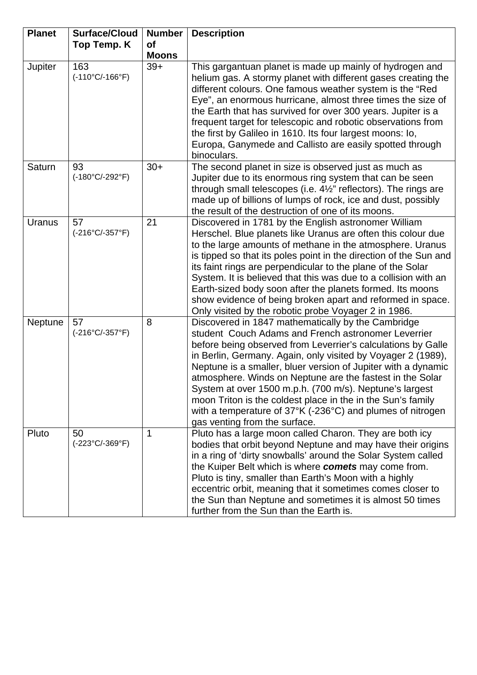| <b>Planet</b>  | <b>Surface/Cloud</b>                   | <b>Number</b> | <b>Description</b>                                                                                                                                                                                                                                                                                                                                                                                                                                                                                                                                                                                                    |
|----------------|----------------------------------------|---------------|-----------------------------------------------------------------------------------------------------------------------------------------------------------------------------------------------------------------------------------------------------------------------------------------------------------------------------------------------------------------------------------------------------------------------------------------------------------------------------------------------------------------------------------------------------------------------------------------------------------------------|
|                | Top Temp. K                            | <b>of</b>     |                                                                                                                                                                                                                                                                                                                                                                                                                                                                                                                                                                                                                       |
|                |                                        | <b>Moons</b>  |                                                                                                                                                                                                                                                                                                                                                                                                                                                                                                                                                                                                                       |
| <b>Jupiter</b> | 163<br>$(-110^{\circ}C/-166^{\circ}F)$ | $39+$         | This gargantuan planet is made up mainly of hydrogen and<br>helium gas. A stormy planet with different gases creating the<br>different colours. One famous weather system is the "Red<br>Eye", an enormous hurricane, almost three times the size of<br>the Earth that has survived for over 300 years. Jupiter is a<br>frequent target for telescopic and robotic observations from<br>the first by Galileo in 1610. Its four largest moons: lo,<br>Europa, Ganymede and Callisto are easily spotted through<br>binoculars.                                                                                          |
| Saturn         | 93<br>$(-180^{\circ}C/-292^{\circ}F)$  | $30+$         | The second planet in size is observed just as much as<br>Jupiter due to its enormous ring system that can be seen<br>through small telescopes (i.e. $4\frac{1}{2}$ " reflectors). The rings are<br>made up of billions of lumps of rock, ice and dust, possibly<br>the result of the destruction of one of its moons.                                                                                                                                                                                                                                                                                                 |
| Uranus         | 57<br>$(-216^{\circ}C/-357^{\circ}F)$  | 21            | Discovered in 1781 by the English astronomer William<br>Herschel. Blue planets like Uranus are often this colour due<br>to the large amounts of methane in the atmosphere. Uranus<br>is tipped so that its poles point in the direction of the Sun and<br>its faint rings are perpendicular to the plane of the Solar<br>System. It is believed that this was due to a collision with an<br>Earth-sized body soon after the planets formed. Its moons<br>show evidence of being broken apart and reformed in space.<br>Only visited by the robotic probe Voyager 2 in 1986.                                           |
| Neptune        | 57<br>$(-216^{\circ}C/-357^{\circ}F)$  | 8             | Discovered in 1847 mathematically by the Cambridge<br>student Couch Adams and French astronomer Leverrier<br>before being observed from Leverrier's calculations by Galle<br>in Berlin, Germany. Again, only visited by Voyager 2 (1989),<br>Neptune is a smaller, bluer version of Jupiter with a dynamic<br>atmosphere. Winds on Neptune are the fastest in the Solar<br>System at over 1500 m.p.h. (700 m/s). Neptune's largest<br>moon Triton is the coldest place in the in the Sun's family<br>with a temperature of $37^{\circ}$ K (-236 $^{\circ}$ C) and plumes of nitrogen<br>gas venting from the surface. |
| Pluto          | 50<br>$(-223^{\circ}C/-369^{\circ}F)$  | 1             | Pluto has a large moon called Charon. They are both icy<br>bodies that orbit beyond Neptune and may have their origins<br>in a ring of 'dirty snowballs' around the Solar System called<br>the Kuiper Belt which is where comets may come from.<br>Pluto is tiny, smaller than Earth's Moon with a highly<br>eccentric orbit, meaning that it sometimes comes closer to<br>the Sun than Neptune and sometimes it is almost 50 times<br>further from the Sun than the Earth is.                                                                                                                                        |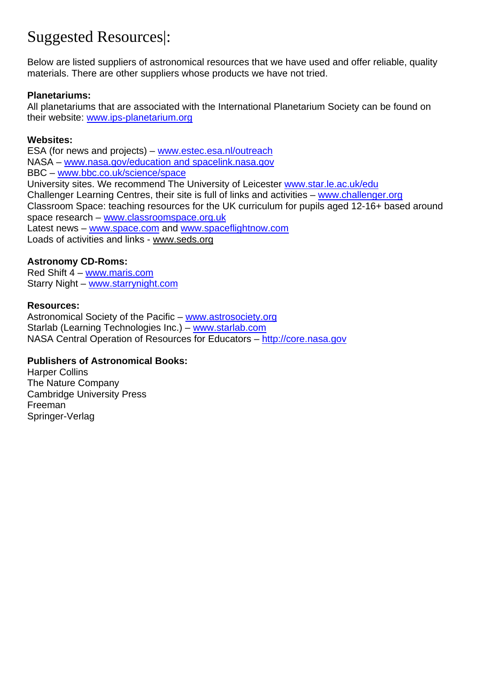# Suggested Resources|:

Below are listed suppliers of astronomical resources that we have used and offer reliable, quality materials. There are other suppliers whose products we have not tried.

### **Planetariums:**

All planetariums that are associated with the International Planetarium Society can be found on their website: [www.ips-planetarium.org](http://www.ips-planetarium.org/)

### **Websites:**

ESA (for news and projects) – [www.estec.esa.nl/outreach](http://www.estec.esa.nl/outreach) NASA – [www.nasa.gov/education and spacelink.nasa.gov](http://www.nasa.gov/education and spacelink.nasa.gov) BBC – [www.bbc.co.uk/science/space](http://www.bbc.co.uk/science/space) University sites. We recommend The University of Leicester [www.star.le.ac.uk/edu](http://www.star.le.ac.uk/edu) Challenger Learning Centres, their site is full of links and activities – [www.challenger.org](http://www.challenger.org/) Classroom Space: teaching resources for the UK curriculum for pupils aged 12-16+ based around space research – [www.classroomspace.org.uk](http://www.classroomspace.org.uk/) Latest news - [www.space.com](http://www.space.com/) and [www.spaceflightnow.com](http://www.spaceflightnow.com/) Loads of activities and links - www.seds.org

### **Astronomy CD-Roms:**

Red Shift 4 – [www.maris.com](http://www.maris.com/) Starry Night – [www.starrynight.com](http://www.starrynight.com/)

### **Resources:**

Astronomical Society of the Pacific – [www.astrosociety.org](http://www.astrosociety.org/) Starlab (Learning Technologies Inc.) – [www.starlab.com](http://www.starlab.com/) NASA Central Operation of Resources for Educators – [http://core.nasa.gov](http://core.nasa.gov/)

### **Publishers of Astronomical Books:**

Harper Collins The Nature Company Cambridge University Press Freeman Springer-Verlag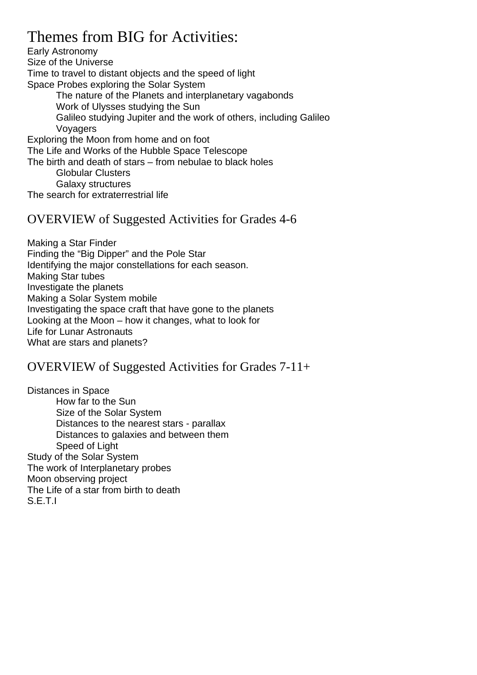## Themes from BIG for Activities:

Early Astronomy Size of the Universe Time to travel to distant objects and the speed of light Space Probes exploring the Solar System The nature of the Planets and interplanetary vagabonds Work of Ulysses studying the Sun Galileo studying Jupiter and the work of others, including Galileo Voyagers Exploring the Moon from home and on foot The Life and Works of the Hubble Space Telescope The birth and death of stars – from nebulae to black holes Globular Clusters Galaxy structures

The search for extraterrestrial life

### OVERVIEW of Suggested Activities for Grades 4-6

Making a Star Finder Finding the "Big Dipper" and the Pole Star Identifying the major constellations for each season. Making Star tubes Investigate the planets Making a Solar System mobile Investigating the space craft that have gone to the planets Looking at the Moon – how it changes, what to look for Life for Lunar Astronauts What are stars and planets?

## OVERVIEW of Suggested Activities for Grades 7-11+

Distances in Space How far to the Sun Size of the Solar System Distances to the nearest stars - parallax Distances to galaxies and between them Speed of Light Study of the Solar System The work of Interplanetary probes Moon observing project The Life of a star from birth to death S.E.T.I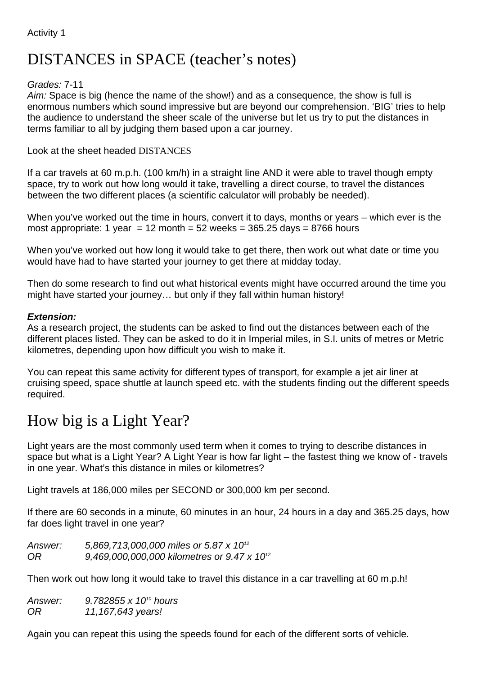# DISTANCES in SPACE (teacher's notes)

### *Grades:* 7-11

*Aim:* Space is big (hence the name of the show!) and as a consequence, the show is full is enormous numbers which sound impressive but are beyond our comprehension. 'BIG' tries to help the audience to understand the sheer scale of the universe but let us try to put the distances in terms familiar to all by judging them based upon a car journey.

### Look at the sheet headed DISTANCES

If a car travels at 60 m.p.h. (100 km/h) in a straight line AND it were able to travel though empty space, try to work out how long would it take, travelling a direct course, to travel the distances between the two different places (a scientific calculator will probably be needed).

When you've worked out the time in hours, convert it to days, months or years – which ever is the most appropriate: 1 year = 12 month = 52 weeks =  $365.25$  days =  $8766$  hours

When you've worked out how long it would take to get there, then work out what date or time you would have had to have started your journey to get there at midday today.

Then do some research to find out what historical events might have occurred around the time you might have started your journey… but only if they fall within human history!

#### *Extension:*

As a research project, the students can be asked to find out the distances between each of the different places listed. They can be asked to do it in Imperial miles, in S.I. units of metres or Metric kilometres, depending upon how difficult you wish to make it.

You can repeat this same activity for different types of transport, for example a jet air liner at cruising speed, space shuttle at launch speed etc. with the students finding out the different speeds required.

# How big is a Light Year?

Light years are the most commonly used term when it comes to trying to describe distances in space but what is a Light Year? A Light Year is how far light – the fastest thing we know of - travels in one year. What's this distance in miles or kilometres?

Light travels at 186,000 miles per SECOND or 300,000 km per second.

If there are 60 seconds in a minute, 60 minutes in an hour, 24 hours in a day and 365.25 days, how far does light travel in one year?

*Answer: 5,869,713,000,000 miles or 5.87 x 1012 OR 9,469,000,000,000 kilometres or 9.47 x 1012*

Then work out how long it would take to travel this distance in a car travelling at 60 m.p.h!

*Answer: 9.782855 x 1010 hours OR 11,167,643 years!*

Again you can repeat this using the speeds found for each of the different sorts of vehicle.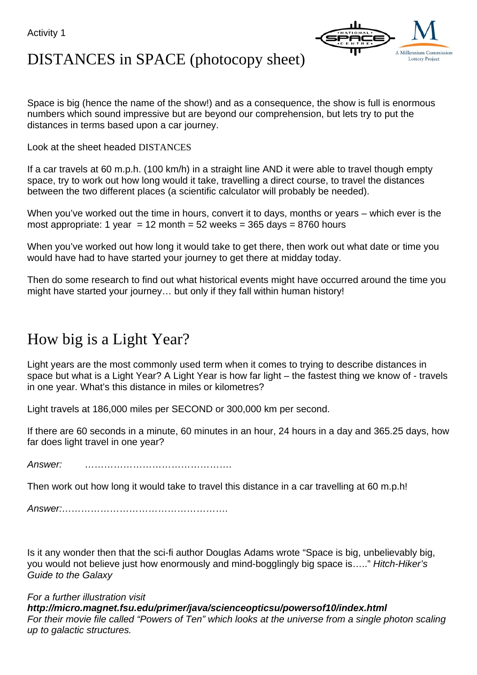Activity 1



# DISTANCES in SPACE (photocopy sheet)

Space is big (hence the name of the show!) and as a consequence, the show is full is enormous numbers which sound impressive but are beyond our comprehension, but lets try to put the distances in terms based upon a car journey.

Look at the sheet headed DISTANCES

If a car travels at 60 m.p.h. (100 km/h) in a straight line AND it were able to travel though empty space, try to work out how long would it take, travelling a direct course, to travel the distances between the two different places (a scientific calculator will probably be needed).

When you've worked out the time in hours, convert it to days, months or years – which ever is the most appropriate: 1 year = 12 month =  $52$  weeks =  $365$  days =  $8760$  hours

When you've worked out how long it would take to get there, then work out what date or time you would have had to have started your journey to get there at midday today.

Then do some research to find out what historical events might have occurred around the time you might have started your journey… but only if they fall within human history!

# How big is a Light Year?

Light years are the most commonly used term when it comes to trying to describe distances in space but what is a Light Year? A Light Year is how far light – the fastest thing we know of - travels in one year. What's this distance in miles or kilometres?

Light travels at 186,000 miles per SECOND or 300,000 km per second.

If there are 60 seconds in a minute, 60 minutes in an hour, 24 hours in a day and 365.25 days, how far does light travel in one year?

*Answer: ……………………………………….*

Then work out how long it would take to travel this distance in a car travelling at 60 m.p.h!

*Answer:…………………………………………….*

Is it any wonder then that the sci-fi author Douglas Adams wrote "Space is big, unbelievably big, you would not believe just how enormously and mind-bogglingly big space is….." *Hitch-Hiker's Guide to the Galaxy*

*For a further illustration visit*

*http://micro.magnet.fsu.edu/primer/java/scienceopticsu/powersof10/index.html For their movie file called "Powers of Ten" which looks at the universe from a single photon scaling up to galactic structures.*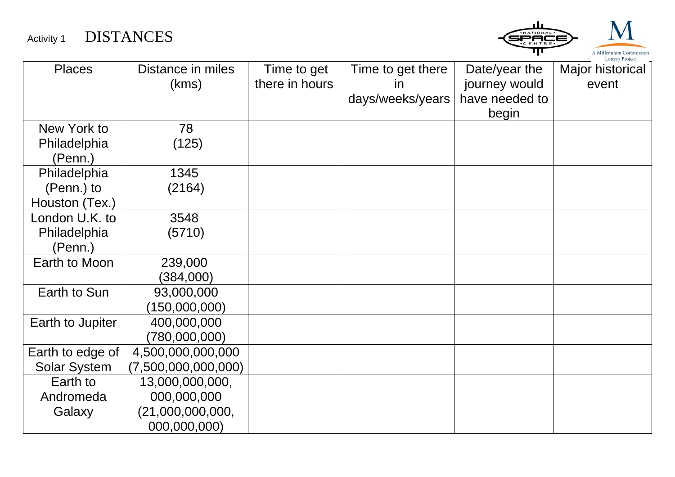Activity 1 DISTANCES



| <b>Places</b>       | Distance in miles   | Time to get    | Time to get there | Date/year the  | Major historical |
|---------------------|---------------------|----------------|-------------------|----------------|------------------|
|                     | (kms)               | there in hours | <i>in</i>         | journey would  | event            |
|                     |                     |                | days/weeks/years  | have needed to |                  |
|                     |                     |                |                   | begin          |                  |
| New York to         | 78                  |                |                   |                |                  |
| Philadelphia        | (125)               |                |                   |                |                  |
| (Penn.)             |                     |                |                   |                |                  |
| Philadelphia        | 1345                |                |                   |                |                  |
| (Penn.) to          | (2164)              |                |                   |                |                  |
| Houston (Tex.)      |                     |                |                   |                |                  |
| London U.K. to      | 3548                |                |                   |                |                  |
| Philadelphia        | (5710)              |                |                   |                |                  |
| (Penn.)             |                     |                |                   |                |                  |
| Earth to Moon       | 239,000             |                |                   |                |                  |
|                     | (384,000)           |                |                   |                |                  |
| Earth to Sun        | 93,000,000          |                |                   |                |                  |
|                     | (150,000,000)       |                |                   |                |                  |
| Earth to Jupiter    | 400,000,000         |                |                   |                |                  |
|                     | (780,000,000)       |                |                   |                |                  |
| Earth to edge of    | 4,500,000,000,000   |                |                   |                |                  |
| <b>Solar System</b> | (7,500,000,000,000) |                |                   |                |                  |
| Earth to            | 13,000,000,000,     |                |                   |                |                  |
| Andromeda           | 000,000,000         |                |                   |                |                  |
| Galaxy              | (21,000,000,000,    |                |                   |                |                  |
|                     | 000,000,000)        |                |                   |                |                  |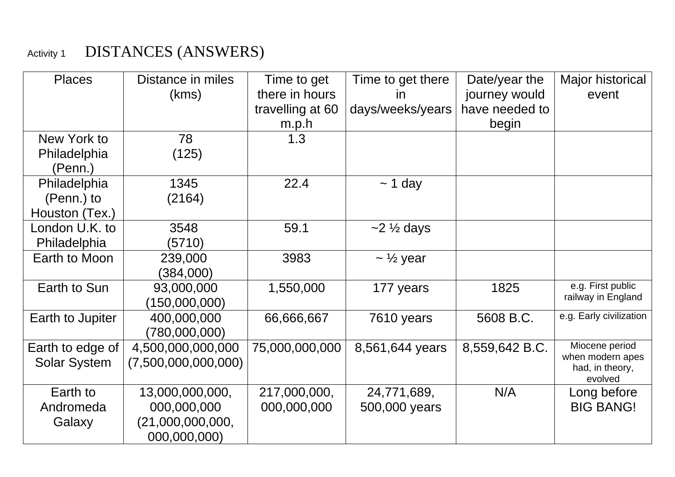# Activity 1 DISTANCES (ANSWERS)

| <b>Places</b>       | Distance in miles   | Time to get      | Time to get there           | Date/year the  | Major historical                    |
|---------------------|---------------------|------------------|-----------------------------|----------------|-------------------------------------|
|                     | (kms)               | there in hours   | <i>in</i>                   | journey would  | event                               |
|                     |                     | travelling at 60 | days/weeks/years            | have needed to |                                     |
|                     |                     | m.p.h            |                             | begin          |                                     |
| New York to         | 78                  | 1.3              |                             |                |                                     |
| Philadelphia        | (125)               |                  |                             |                |                                     |
| (Penn.)             |                     |                  |                             |                |                                     |
| Philadelphia        | 1345                | 22.4             | $\sim$ 1 day                |                |                                     |
| (Penn.) to          | (2164)              |                  |                             |                |                                     |
| Houston (Tex.)      |                     |                  |                             |                |                                     |
| London U.K. to      | 3548                | 59.1             | $\sim$ 2 $\frac{1}{2}$ days |                |                                     |
| Philadelphia        | (5710)              |                  |                             |                |                                     |
| Earth to Moon       | 239,000             | 3983             | $\sim \frac{1}{2}$ year     |                |                                     |
|                     | (384,000)           |                  |                             |                |                                     |
| Earth to Sun        | 93,000,000          | 1,550,000        | 177 years                   | 1825           | e.g. First public                   |
|                     | (150,000,000)       |                  |                             |                | railway in England                  |
| Earth to Jupiter    | 400,000,000         | 66,666,667       | 7610 years                  | 5608 B.C.      | e.g. Early civilization             |
|                     | (780,000,000)       |                  |                             |                |                                     |
| Earth to edge of    | 4,500,000,000,000   | 75,000,000,000   | 8,561,644 years             | 8,559,642 B.C. | Miocene period                      |
| <b>Solar System</b> | (7,500,000,000,000) |                  |                             |                | when modern apes<br>had, in theory, |
|                     |                     |                  |                             |                | evolved                             |
| Earth to            | 13,000,000,000,     | 217,000,000,     | 24,771,689,                 | N/A            | Long before                         |
| Andromeda           | 000,000,000         | 000,000,000      | 500,000 years               |                | <b>BIG BANG!</b>                    |
| Galaxy              | (21,000,000,000,    |                  |                             |                |                                     |
|                     | 000,000,000)        |                  |                             |                |                                     |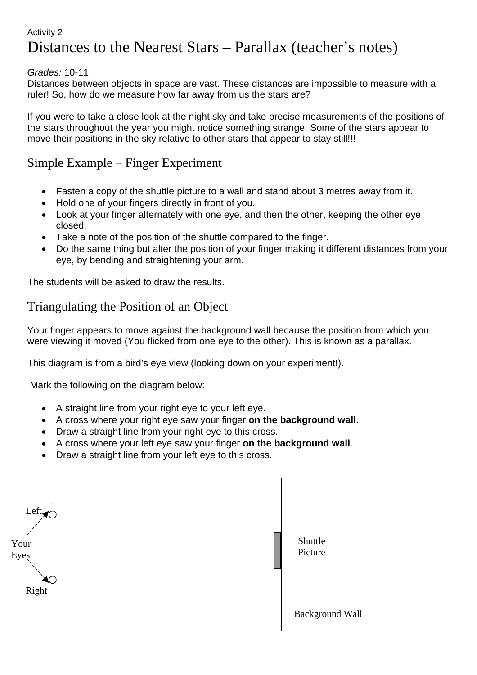#### Activity 2

# Distances to the Nearest Stars – Parallax (teacher's notes)

#### *Grades:* 10-11

Distances between objects in space are vast. These distances are impossible to measure with a ruler! So, how do we measure how far away from us the stars are?

If you were to take a close look at the night sky and take precise measurements of the positions of the stars throughout the year you might notice something strange. Some of the stars appear to move their positions in the sky relative to other stars that appear to stay still!!!

### Simple Example – Finger Experiment

- Fasten a copy of the shuttle picture to a wall and stand about 3 metres away from it.
- Hold one of your fingers directly in front of you.
- Look at your finger alternately with one eye, and then the other, keeping the other eye closed.
- Take a note of the position of the shuttle compared to the finger.
- Do the same thing but alter the position of your finger making it different distances from your eye, by bending and straightening your arm.

The students will be asked to draw the results.

## Triangulating the Position of an Object

Your finger appears to move against the background wall because the position from which you were viewing it moved (You flicked from one eye to the other). This is known as a parallax.

This diagram is from a bird's eye view (looking down on your experiment!).

Mark the following on the diagram below:

- A straight line from your right eye to your left eye.
- A cross where your right eye saw your finger **on the background wall**.
- Draw a straight line from your right eye to this cross.
- A cross where your left eye saw your finger **on the background wall**.
- Draw a straight line from your left eye to this cross.

Your Eyes Left $\blacksquare$ Right

Background Wall Shuttle Picture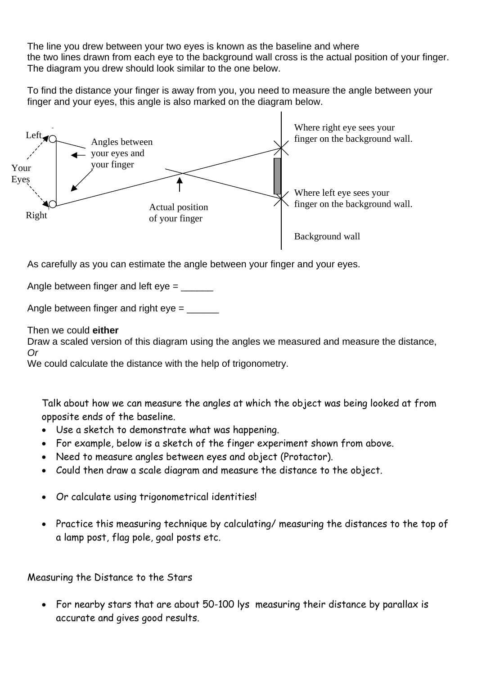The line you drew between your two eyes is known as the baseline and where the two lines drawn from each eye to the background wall cross is the actual position of your finger. The diagram you drew should look similar to the one below.

To find the distance your finger is away from you, you need to measure the angle between your finger and your eyes, this angle is also marked on the diagram below.



As carefully as you can estimate the angle between your finger and your eyes.

Angle between finger and left eye = \_\_\_\_\_\_

Angle between finger and right  $eye =$  \_\_\_\_\_\_\_\_\_\_

Then we could **either**

Draw a scaled version of this diagram using the angles we measured and measure the distance, *Or* 

We could calculate the distance with the help of trigonometry.

Talk about how we can measure the angles at which the object was being looked at from opposite ends of the baseline.

- Use a sketch to demonstrate what was happening.
- For example, below is a sketch of the finger experiment shown from above.
- Need to measure angles between eyes and object (Protactor).
- Could then draw a scale diagram and measure the distance to the object.
- Or calculate using trigonometrical identities!
- Practice this measuring technique by calculating/ measuring the distances to the top of a lamp post, flag pole, goal posts etc.

Measuring the Distance to the Stars

• For nearby stars that are about 50-100 lys measuring their distance by parallax is accurate and gives good results.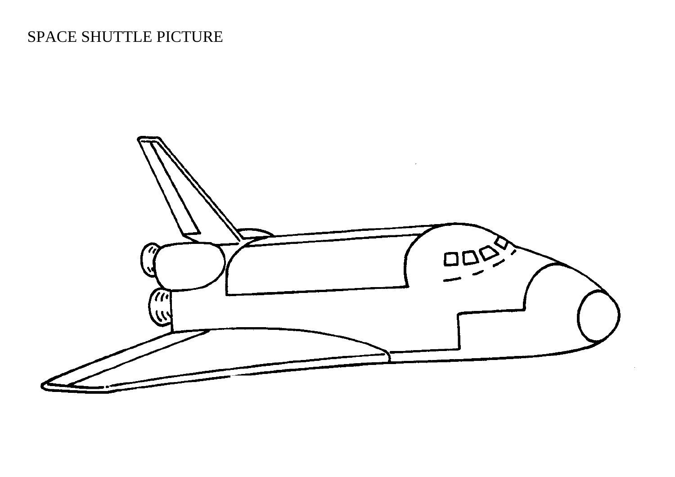# SPACE SHUTTLE PICTURE

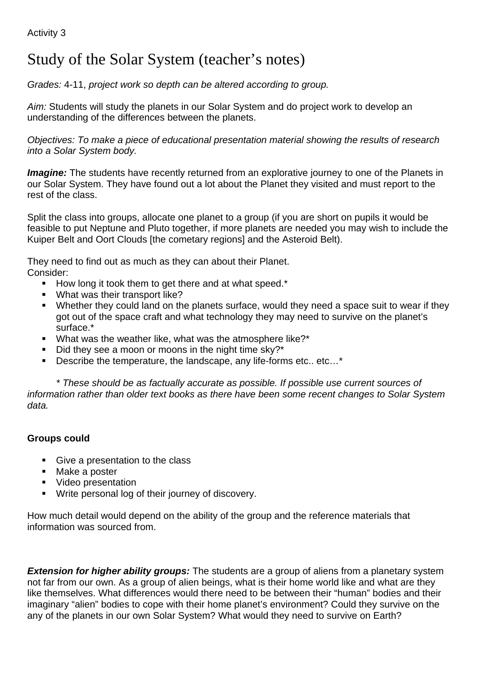# Study of the Solar System (teacher's notes)

*Grades:* 4-11, *project work so depth can be altered according to group.*

*Aim:* Students will study the planets in our Solar System and do project work to develop an understanding of the differences between the planets.

*Objectives: To make a piece of educational presentation material showing the results of research into a Solar System body.*

*Imagine:* The students have recently returned from an explorative journey to one of the Planets in our Solar System. They have found out a lot about the Planet they visited and must report to the rest of the class.

Split the class into groups, allocate one planet to a group (if you are short on pupils it would be feasible to put Neptune and Pluto together, if more planets are needed you may wish to include the Kuiper Belt and Oort Clouds [the cometary regions] and the Asteroid Belt).

They need to find out as much as they can about their Planet. Consider:

- How long it took them to get there and at what speed.\*
- **What was their transport like?**
- Whether they could land on the planets surface, would they need a space suit to wear if they got out of the space craft and what technology they may need to survive on the planet's surface.\*
- What was the weather like, what was the atmosphere like?<sup>\*</sup>
- $\blacksquare$  Did they see a moon or moons in the night time sky?\*
- Describe the temperature, the landscape, any life-forms etc.. etc...\*

*\* These should be as factually accurate as possible. If possible use current sources of information rather than older text books as there have been some recent changes to Solar System data.*

### **Groups could**

- Give a presentation to the class
- Make a poster
- Video presentation
- **Write personal log of their journey of discovery.**

How much detail would depend on the ability of the group and the reference materials that information was sourced from.

*Extension for higher ability groups:* The students are a group of aliens from a planetary system not far from our own. As a group of alien beings, what is their home world like and what are they like themselves. What differences would there need to be between their "human" bodies and their imaginary "alien" bodies to cope with their home planet's environment? Could they survive on the any of the planets in our own Solar System? What would they need to survive on Earth?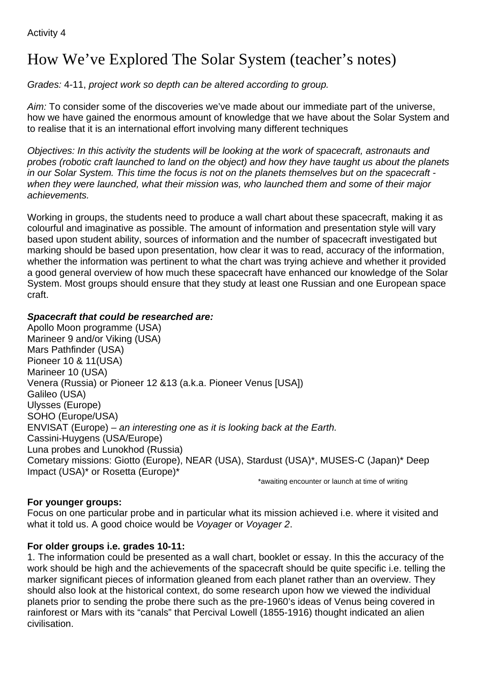# How We've Explored The Solar System (teacher's notes)

*Grades:* 4-11, *project work so depth can be altered according to group.*

*Aim:* To consider some of the discoveries we've made about our immediate part of the universe, how we have gained the enormous amount of knowledge that we have about the Solar System and to realise that it is an international effort involving many different techniques

*Objectives: In this activity the students will be looking at the work of spacecraft, astronauts and probes (robotic craft launched to land on the object) and how they have taught us about the planets in our Solar System. This time the focus is not on the planets themselves but on the spacecraft when they were launched, what their mission was, who launched them and some of their major achievements.*

Working in groups, the students need to produce a wall chart about these spacecraft, making it as colourful and imaginative as possible. The amount of information and presentation style will vary based upon student ability, sources of information and the number of spacecraft investigated but marking should be based upon presentation, how clear it was to read, accuracy of the information, whether the information was pertinent to what the chart was trying achieve and whether it provided a good general overview of how much these spacecraft have enhanced our knowledge of the Solar System. Most groups should ensure that they study at least one Russian and one European space craft.

### *Spacecraft that could be researched are:*

Apollo Moon programme (USA) Marineer 9 and/or Viking (USA) Mars Pathfinder (USA) Pioneer 10 & 11(USA) Marineer 10 (USA) Venera (Russia) or Pioneer 12 &13 (a.k.a. Pioneer Venus [USA]) Galileo (USA) Ulysses (Europe) SOHO (Europe/USA) ENVISAT (Europe) – *an interesting one as it is looking back at the Earth.* Cassini-Huygens (USA/Europe) Luna probes and Lunokhod (Russia) Cometary missions: Giotto (Europe), NEAR (USA), Stardust (USA)\*, MUSES-C (Japan)\* Deep Impact (USA)\* or Rosetta (Europe)\*

\*awaiting encounter or launch at time of writing

### **For younger groups:**

Focus on one particular probe and in particular what its mission achieved i.e. where it visited and what it told us. A good choice would be *Voyager* or *Voyager 2*.

#### **For older groups i.e. grades 10-11:**

1. The information could be presented as a wall chart, booklet or essay. In this the accuracy of the work should be high and the achievements of the spacecraft should be quite specific i.e. telling the marker significant pieces of information gleaned from each planet rather than an overview. They should also look at the historical context, do some research upon how we viewed the individual planets prior to sending the probe there such as the pre-1960's ideas of Venus being covered in rainforest or Mars with its "canals" that Percival Lowell (1855-1916) thought indicated an alien civilisation.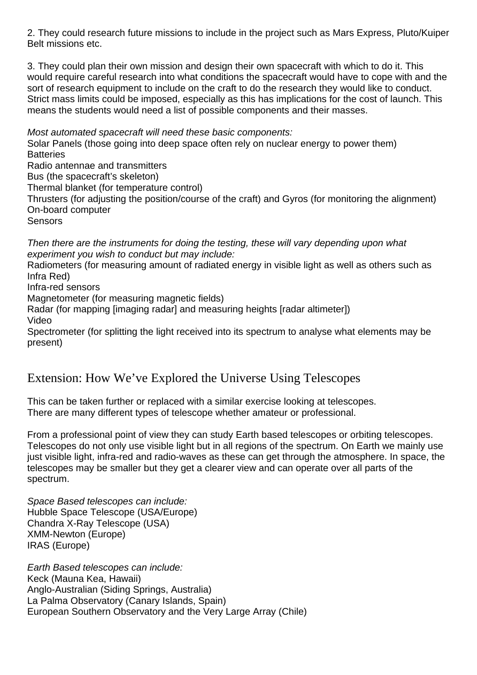2. They could research future missions to include in the project such as Mars Express, Pluto/Kuiper Belt missions etc.

3. They could plan their own mission and design their own spacecraft with which to do it. This would require careful research into what conditions the spacecraft would have to cope with and the sort of research equipment to include on the craft to do the research they would like to conduct. Strict mass limits could be imposed, especially as this has implications for the cost of launch. This means the students would need a list of possible components and their masses.

*Most automated spacecraft will need these basic components:*

Solar Panels (those going into deep space often rely on nuclear energy to power them) **Batteries** 

Radio antennae and transmitters

Bus (the spacecraft's skeleton)

Thermal blanket (for temperature control)

Thrusters (for adjusting the position/course of the craft) and Gyros (for monitoring the alignment) On-board computer

**Sensors** 

*Then there are the instruments for doing the testing, these will vary depending upon what experiment you wish to conduct but may include:*

Radiometers (for measuring amount of radiated energy in visible light as well as others such as Infra Red)

Infra-red sensors

Magnetometer (for measuring magnetic fields)

Radar (for mapping [imaging radar] and measuring heights [radar altimeter]) Video

Spectrometer (for splitting the light received into its spectrum to analyse what elements may be present)

## Extension: How We've Explored the Universe Using Telescopes

This can be taken further or replaced with a similar exercise looking at telescopes. There are many different types of telescope whether amateur or professional.

From a professional point of view they can study Earth based telescopes or orbiting telescopes. Telescopes do not only use visible light but in all regions of the spectrum. On Earth we mainly use just visible light, infra-red and radio-waves as these can get through the atmosphere. In space, the telescopes may be smaller but they get a clearer view and can operate over all parts of the spectrum.

*Space Based telescopes can include:* Hubble Space Telescope (USA/Europe) Chandra X-Ray Telescope (USA) XMM-Newton (Europe) IRAS (Europe)

*Earth Based telescopes can include:* Keck (Mauna Kea, Hawaii) Anglo-Australian (Siding Springs, Australia) La Palma Observatory (Canary Islands, Spain) European Southern Observatory and the Very Large Array (Chile)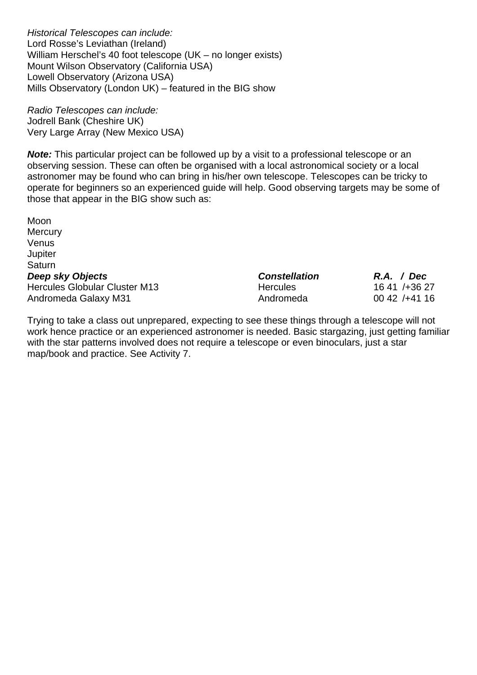*Historical Telescopes can include:* Lord Rosse's Leviathan (Ireland) William Herschel's 40 foot telescope (UK – no longer exists) Mount Wilson Observatory (California USA) Lowell Observatory (Arizona USA) Mills Observatory (London UK) – featured in the BIG show

*Radio Telescopes can include:* Jodrell Bank (Cheshire UK) Very Large Array (New Mexico USA)

**Note:** This particular project can be followed up by a visit to a professional telescope or an observing session. These can often be organised with a local astronomical society or a local astronomer may be found who can bring in his/her own telescope. Telescopes can be tricky to operate for beginners so an experienced guide will help. Good observing targets may be some of those that appear in the BIG show such as:

| Moon                                 |                      |
|--------------------------------------|----------------------|
| Mercury                              |                      |
| Venus                                |                      |
| Jupiter                              |                      |
| Saturn                               |                      |
| Deep sky Objects                     | <b>Constellation</b> |
| <b>Hercules Globular Cluster M13</b> | <b>Hercules</b>      |
| Andromeda Galaxy M31                 | Andromeda            |

Trying to take a class out unprepared, expecting to see these things through a telescope will not work hence practice or an experienced astronomer is needed. Basic stargazing, just getting familiar with the star patterns involved does not require a telescope or even binoculars, just a star map/book and practice. See Activity 7.

*Deep sky Objects Constellation R.A. / Dec*  $1641 / +3627$  $0042 / +4116$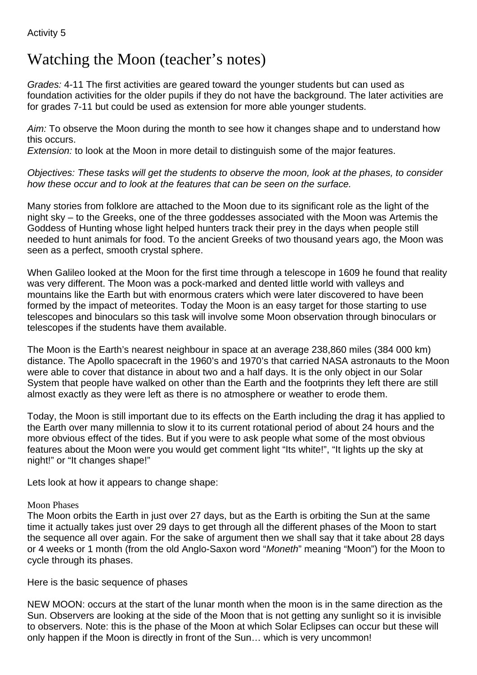## Watching the Moon (teacher's notes)

*Grades:* 4-11 The first activities are geared toward the younger students but can used as foundation activities for the older pupils if they do not have the background. The later activities are for grades 7-11 but could be used as extension for more able younger students.

*Aim:* To observe the Moon during the month to see how it changes shape and to understand how this occurs.

*Extension:* to look at the Moon in more detail to distinguish some of the major features.

*Objectives: These tasks will get the students to observe the moon, look at the phases, to consider how these occur and to look at the features that can be seen on the surface.*

Many stories from folklore are attached to the Moon due to its significant role as the light of the night sky – to the Greeks, one of the three goddesses associated with the Moon was Artemis the Goddess of Hunting whose light helped hunters track their prey in the days when people still needed to hunt animals for food. To the ancient Greeks of two thousand years ago, the Moon was seen as a perfect, smooth crystal sphere.

When Galileo looked at the Moon for the first time through a telescope in 1609 he found that reality was very different. The Moon was a pock-marked and dented little world with valleys and mountains like the Earth but with enormous craters which were later discovered to have been formed by the impact of meteorites. Today the Moon is an easy target for those starting to use telescopes and binoculars so this task will involve some Moon observation through binoculars or telescopes if the students have them available.

The Moon is the Earth's nearest neighbour in space at an average 238,860 miles (384 000 km) distance. The Apollo spacecraft in the 1960's and 1970's that carried NASA astronauts to the Moon were able to cover that distance in about two and a half days. It is the only object in our Solar System that people have walked on other than the Earth and the footprints they left there are still almost exactly as they were left as there is no atmosphere or weather to erode them.

Today, the Moon is still important due to its effects on the Earth including the drag it has applied to the Earth over many millennia to slow it to its current rotational period of about 24 hours and the more obvious effect of the tides. But if you were to ask people what some of the most obvious features about the Moon were you would get comment light "Its white!", "It lights up the sky at night!" or "It changes shape!"

Lets look at how it appears to change shape:

#### Moon Phases

The Moon orbits the Earth in just over 27 days, but as the Earth is orbiting the Sun at the same time it actually takes just over 29 days to get through all the different phases of the Moon to start the sequence all over again. For the sake of argument then we shall say that it take about 28 days or 4 weeks or 1 month (from the old Anglo-Saxon word "*Moneth*" meaning "Moon") for the Moon to cycle through its phases.

Here is the basic sequence of phases

NEW MOON: occurs at the start of the lunar month when the moon is in the same direction as the Sun. Observers are looking at the side of the Moon that is not getting any sunlight so it is invisible to observers. Note: this is the phase of the Moon at which Solar Eclipses can occur but these will only happen if the Moon is directly in front of the Sun… which is very uncommon!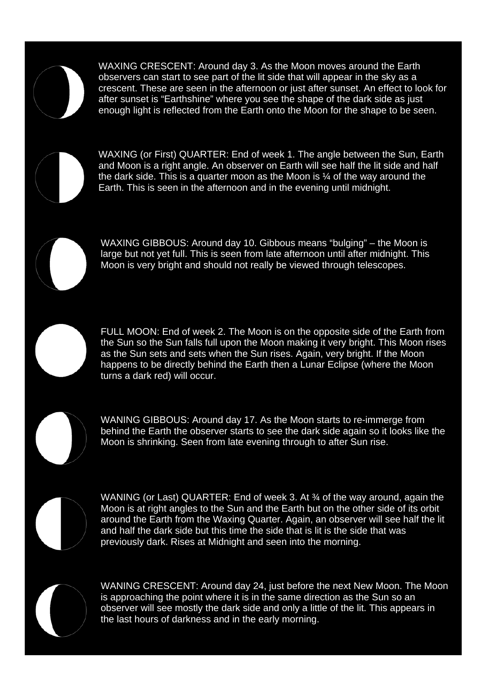

WAXING CRESCENT: Around day 3. As the Moon moves around the Earth observers can start to see part of the lit side that will appear in the sky as a crescent. These are seen in the afternoon or just after sunset. An effect to look for after sunset is "Earthshine" where you see the shape of the dark side as just enough light is reflected from the Earth onto the Moon for the shape to be seen.



WAXING (or First) QUARTER: End of week 1. The angle between the Sun, Earth and Moon is a right angle. An observer on Earth will see half the lit side and half the dark side. This is a quarter moon as the Moon is ¼ of the way around the Earth. This is seen in the afternoon and in the evening until midnight.

WAXING GIBBOUS: Around day 10. Gibbous means "bulging" – the Moon is large but not yet full. This is seen from late afternoon until after midnight. This Moon is very bright and should not really be viewed through telescopes.

FULL MOON: End of week 2. The Moon is on the opposite side of the Earth from the Sun so the Sun falls full upon the Moon making it very bright. This Moon rises as the Sun sets and sets when the Sun rises. Again, very bright. If the Moon happens to be directly behind the Earth then a Lunar Eclipse (where the Moon turns a dark red) will occur.



WANING GIBBOUS: Around day 17. As the Moon starts to re-immerge from behind the Earth the observer starts to see the dark side again so it looks like the Moon is shrinking. Seen from late evening through to after Sun rise.



WANING (or Last) QUARTER: End of week 3. At 34 of the way around, again the Moon is at right angles to the Sun and the Earth but on the other side of its orbit around the Earth from the Waxing Quarter. Again, an observer will see half the lit and half the dark side but this time the side that is lit is the side that was previously dark. Rises at Midnight and seen into the morning.



WANING CRESCENT: Around day 24, just before the next New Moon. The Moon is approaching the point where it is in the same direction as the Sun so an observer will see mostly the dark side and only a little of the lit. This appears in the last hours of darkness and in the early morning.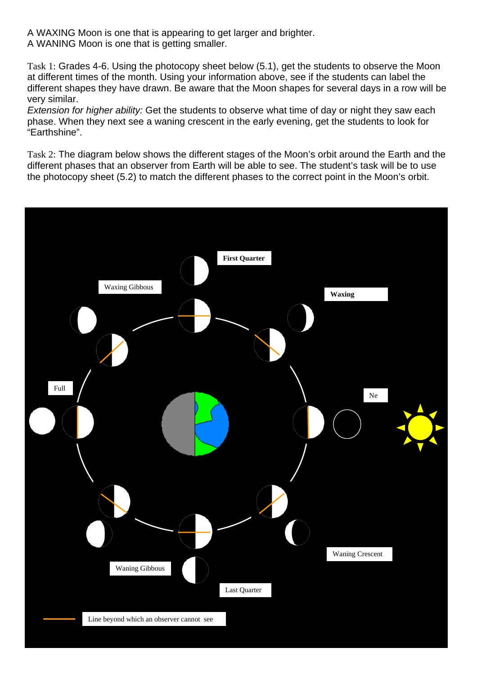A WAXING Moon is one that is appearing to get larger and brighter. A WANING Moon is one that is getting smaller.

Task 1: Grades 4-6. Using the photocopy sheet below (5.1), get the students to observe the Moon at different times of the month. Using your information above, see if the students can label the different shapes they have drawn. Be aware that the Moon shapes for several days in a row will be very similar.

*Extension for higher ability:* Get the students to observe what time of day or night they saw each phase. When they next see a waning crescent in the early evening, get the students to look for "Earthshine".

Task 2: The diagram below shows the different stages of the Moon's orbit around the Earth and the different phases that an observer from Earth will be able to see. The student's task will be to use the photocopy sheet (5.2) to match the different phases to the correct point in the Moon's orbit.

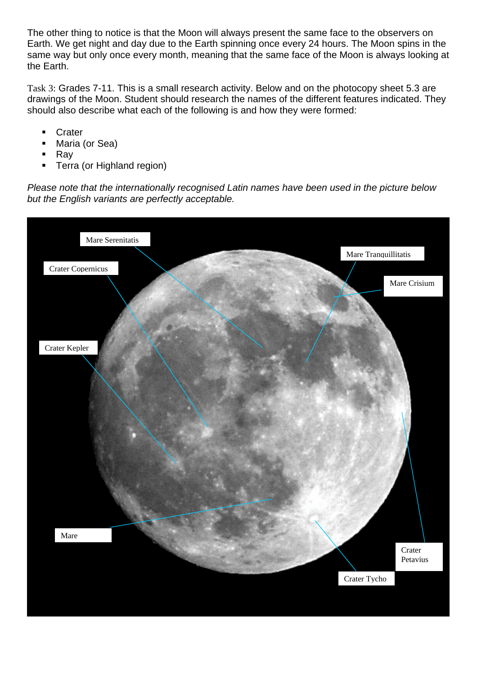The other thing to notice is that the Moon will always present the same face to the observers on Earth. We get night and day due to the Earth spinning once every 24 hours. The Moon spins in the same way but only once every month, meaning that the same face of the Moon is always looking at the Earth.

Task 3: Grades 7-11. This is a small research activity. Below and on the photocopy sheet 5.3 are drawings of the Moon. Student should research the names of the different features indicated. They should also describe what each of the following is and how they were formed:

- **Crater**
- Maria (or Sea)
- Ray
- Terra (or Highland region)

*Please note that the internationally recognised Latin names have been used in the picture below but the English variants are perfectly acceptable.*

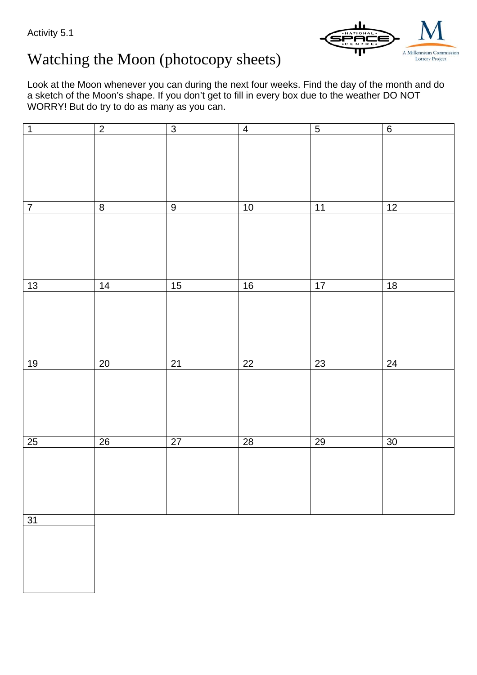Activity 5.1



# Watching the Moon (photocopy sheets)

Look at the Moon whenever you can during the next four weeks. Find the day of the month and do a sketch of the Moon's shape. If you don't get to fill in every box due to the weather DO NOT WORRY! But do try to do as many as you can.

| $\mathbf 1$    | $\overline{2}$          | $\overline{3}$  | $\overline{4}$  | $\overline{5}$  | $\,6\,$         |
|----------------|-------------------------|-----------------|-----------------|-----------------|-----------------|
|                |                         |                 |                 |                 |                 |
|                |                         |                 |                 |                 |                 |
|                |                         |                 |                 |                 |                 |
|                |                         |                 |                 |                 |                 |
|                |                         |                 |                 |                 |                 |
|                |                         |                 |                 |                 |                 |
|                |                         |                 |                 |                 |                 |
|                |                         |                 |                 |                 |                 |
| $\overline{7}$ | $\overline{\mathbf{8}}$ | $\overline{9}$  | 10              | 11              | 12              |
|                |                         |                 |                 |                 |                 |
|                |                         |                 |                 |                 |                 |
|                |                         |                 |                 |                 |                 |
|                |                         |                 |                 |                 |                 |
|                |                         |                 |                 |                 |                 |
|                |                         |                 |                 |                 |                 |
|                |                         |                 |                 |                 |                 |
|                |                         |                 |                 |                 |                 |
| 13             | $\overline{14}$         | 15              | 16              | 17              | $\overline{18}$ |
|                |                         |                 |                 |                 |                 |
|                |                         |                 |                 |                 |                 |
|                |                         |                 |                 |                 |                 |
|                |                         |                 |                 |                 |                 |
|                |                         |                 |                 |                 |                 |
|                |                         |                 |                 |                 |                 |
|                |                         |                 |                 |                 |                 |
| 19             | $20\,$                  | 21              | $\overline{22}$ | 23              | 24              |
|                |                         |                 |                 |                 |                 |
|                |                         |                 |                 |                 |                 |
|                |                         |                 |                 |                 |                 |
|                |                         |                 |                 |                 |                 |
|                |                         |                 |                 |                 |                 |
|                |                         |                 |                 |                 |                 |
|                |                         |                 |                 |                 |                 |
|                |                         |                 |                 |                 |                 |
| 25             | $\overline{26}$         | $\overline{27}$ | $\overline{28}$ | $\overline{29}$ | $\overline{30}$ |
|                |                         |                 |                 |                 |                 |
|                |                         |                 |                 |                 |                 |
|                |                         |                 |                 |                 |                 |
|                |                         |                 |                 |                 |                 |
|                |                         |                 |                 |                 |                 |
|                |                         |                 |                 |                 |                 |
|                |                         |                 |                 |                 |                 |
|                |                         |                 |                 |                 |                 |
| 31             |                         |                 |                 |                 |                 |
|                |                         |                 |                 |                 |                 |
|                |                         |                 |                 |                 |                 |
|                |                         |                 |                 |                 |                 |
|                |                         |                 |                 |                 |                 |
|                |                         |                 |                 |                 |                 |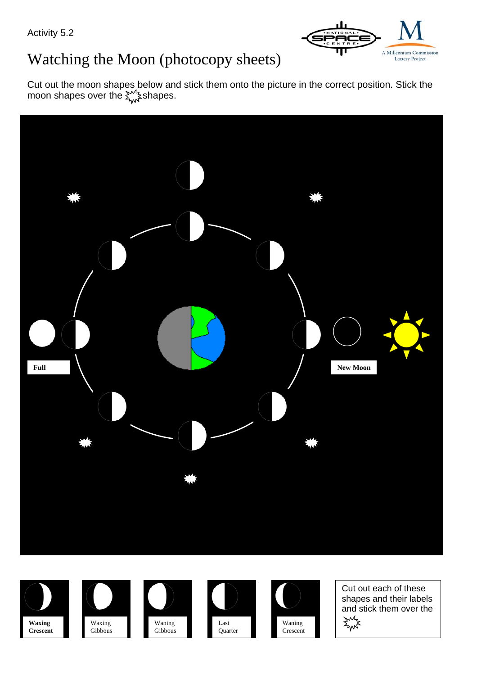Activity 5.2



# Watching the Moon (photocopy sheets)

Cut out the moon shapes below and stick them onto the picture in the correct position. Stick the moon shapes over the  $\sum_{n=1}^{\infty}$  shapes.















Cut out each of these shapes and their labels and stick them over the**AWYE**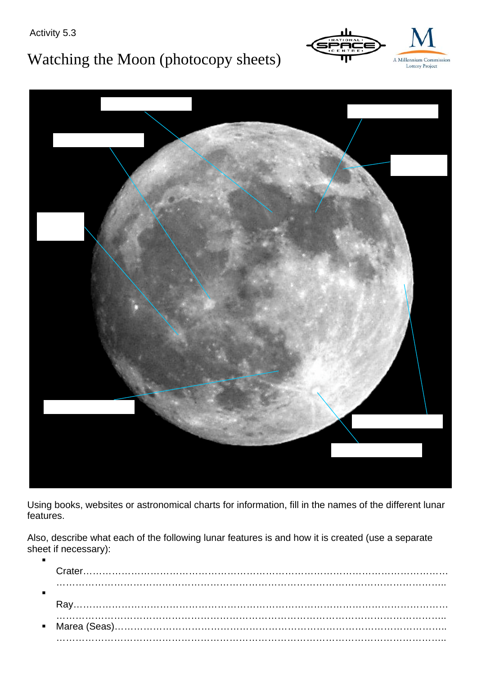Activity 5.3

# Watching the Moon (photocopy sheets)





Using books, websites or astronomical charts for information, fill in the names of the different lunar features.

Also, describe what each of the following lunar features is and how it is created (use a separate sheet if necessary):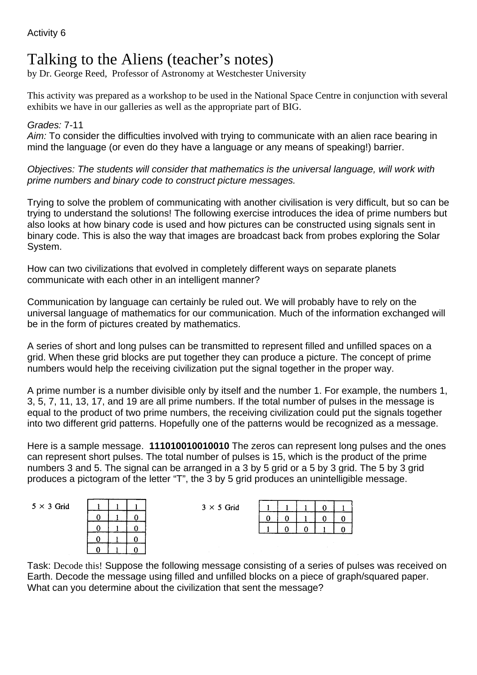# Talking to the Aliens (teacher's notes)

by Dr. George Reed, Professor of Astronomy at Westchester University

This activity was prepared as a workshop to be used in the National Space Centre in conjunction with several exhibits we have in our galleries as well as the appropriate part of BIG.

#### *Grades:* 7-11

*Aim:* To consider the difficulties involved with trying to communicate with an alien race bearing in mind the language (or even do they have a language or any means of speaking!) barrier.

*Objectives: The students will consider that mathematics is the universal language, will work with prime numbers and binary code to construct picture messages.* 

Trying to solve the problem of communicating with another civilisation is very difficult, but so can be trying to understand the solutions! The following exercise introduces the idea of prime numbers but also looks at how binary code is used and how pictures can be constructed using signals sent in binary code. This is also the way that images are broadcast back from probes exploring the Solar System.

How can two civilizations that evolved in completely different ways on separate planets communicate with each other in an intelligent manner?

Communication by language can certainly be ruled out. We will probably have to rely on the universal language of mathematics for our communication. Much of the information exchanged will be in the form of pictures created by mathematics.

A series of short and long pulses can be transmitted to represent filled and unfilled spaces on a grid. When these grid blocks are put together they can produce a picture. The concept of prime numbers would help the receiving civilization put the signal together in the proper way.

A prime number is a number divisible only by itself and the number 1. For example, the numbers 1, 3, 5, 7, 11, 13, 17, and 19 are all prime numbers. If the total number of pulses in the message is equal to the product of two prime numbers, the receiving civilization could put the signals together into two different grid patterns. Hopefully one of the patterns would be recognized as a message.

Here is a sample message. **111010010010010** The zeros can represent long pulses and the ones can represent short pulses. The total number of pulses is 15, which is the product of the prime numbers 3 and 5. The signal can be arranged in a 3 by 5 grid or a 5 by 3 grid. The 5 by 3 grid produces a pictogram of the letter "T", the 3 by 5 grid produces an unintelligible message.

 $\overline{3}$ 

| ſ |   |
|---|---|
| L | L |
| L |   |
|   |   |

| $\times$ 5 Grid |  |  |   |
|-----------------|--|--|---|
|                 |  |  | Ω |
|                 |  |  | O |
|                 |  |  |   |

Task: Decode this! Suppose the following message consisting of a series of pulses was received on Earth. Decode the message using filled and unfilled blocks on a piece of graph/squared paper. What can you determine about the civilization that sent the message?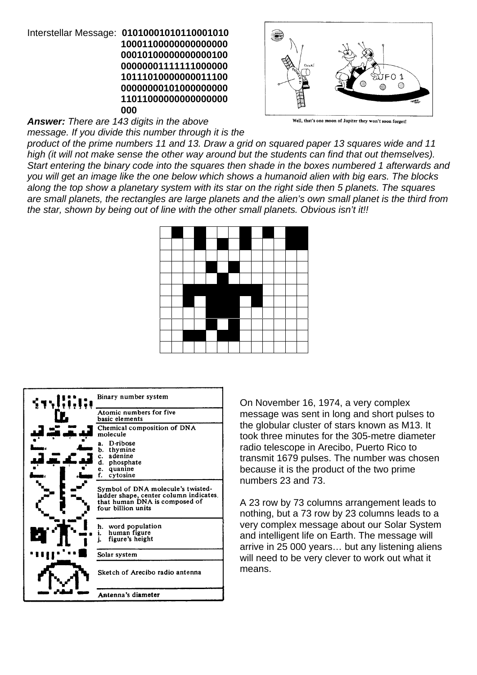#### Interstellar Message: **01010001010110001010 10001100000000000000 00010100000000000100 00000001111111000000 10111010000000011100 00000000101000000000 11011000000000000000 000**



*Answer: There are 143 digits in the above*

*message. If you divide this number through it is the*

*product of the prime numbers 11 and 13. Draw a grid on squared paper 13 squares wide and 11 high (it will not make sense the other way around but the students can find that out themselves). Start entering the binary code into the squares then shade in the boxes numbered 1 afterwards and you will get an image like the one below which shows a humanoid alien with big ears. The blocks along the top show a planetary system with its star on the right side then 5 planets. The squares are small planets, the rectangles are large planets and the alien's own small planet is the third from the star, shown by being out of line with the other small planets. Obvious isn't it!!*



| Binary number system                                                                                                               |
|------------------------------------------------------------------------------------------------------------------------------------|
| Atomic numbers for five<br>basic elements                                                                                          |
| Chemical composition of DNA<br>molecule                                                                                            |
| D ribose<br>я.<br>thymine<br>b.<br>adenine<br>c.<br>d.<br>phosphate<br>quanine<br>е.<br>cytosine<br>f.                             |
| Symbol of DNA molecule's twisted-<br>ladder shape, center column indicates.<br>that human DNA is composed of<br>four billion units |
| word population<br>h.<br>human figure<br>i.<br>figure's height<br>j.                                                               |
| Solar system                                                                                                                       |
| Sketch of Arecibo radio antenna                                                                                                    |
| Antenna's diameter                                                                                                                 |

On November 16, 1974, a very complex message was sent in long and short pulses to the globular cluster of stars known as M13. It took three minutes for the 305-metre diameter radio telescope in Arecibo, Puerto Rico to transmit 1679 pulses. The number was chosen because it is the product of the two prime numbers 23 and 73.

A 23 row by 73 columns arrangement leads to nothing, but a 73 row by 23 columns leads to a very complex message about our Solar System and intelligent life on Earth. The message will arrive in 25 000 years… but any listening aliens will need to be very clever to work out what it means.

Well, that's one moon of Jupiter they won't soon forget!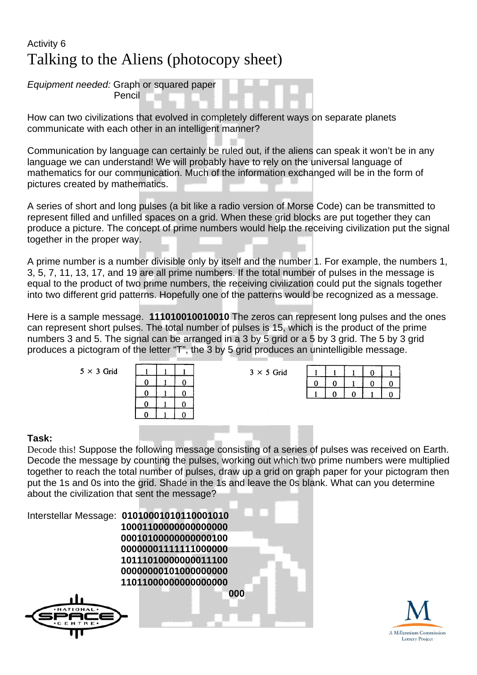## Activity 6 Talking to the Aliens (photocopy sheet)

*Equipment needed:* Graph or squared paper Pencil

How can two civilizations that evolved in completely different ways on separate planets communicate with each other in an intelligent manner?

Communication by language can certainly be ruled out, if the aliens can speak it won't be in any language we can understand! We will probably have to rely on the universal language of mathematics for our communication. Much of the information exchanged will be in the form of pictures created by mathematics.

A series of short and long pulses (a bit like a radio version of Morse Code) can be transmitted to represent filled and unfilled spaces on a grid. When these grid blocks are put together they can produce a picture. The concept of prime numbers would help the receiving civilization put the signal together in the proper way.

A prime number is a number divisible only by itself and the number 1. For example, the numbers 1, 3, 5, 7, 11, 13, 17, and 19 are all prime numbers. If the total number of pulses in the message is equal to the product of two prime numbers, the receiving civilization could put the signals together into two different grid patterns. Hopefully one of the patterns would be recognized as a message.

Here is a sample message. **111010010010010** The zeros can represent long pulses and the ones can represent short pulses. The total number of pulses is 15, which is the product of the prime numbers 3 and 5. The signal can be arranged in a 3 by 5 grid or a 5 by 3 grid. The 5 by 3 grid produces a pictogram of the letter "T", the 3 by 5 grid produces an unintelligible message.

 $3 \times 5$  Grid

 $5 \times 3$  Grid

| i : | l. |
|-----|----|
| O)  |    |
|     |    |

|  |  | U | U. |
|--|--|---|----|
|  |  |   |    |

#### **Task:**

Decode this! Suppose the following message consisting of a series of pulses was received on Earth. Decode the message by counting the pulses, working out which two prime numbers were multiplied together to reach the total number of pulses, draw up a grid on graph paper for your pictogram then put the 1s and 0s into the grid. Shade in the 1s and leave the 0s blank. What can you determine about the civilization that sent the message?



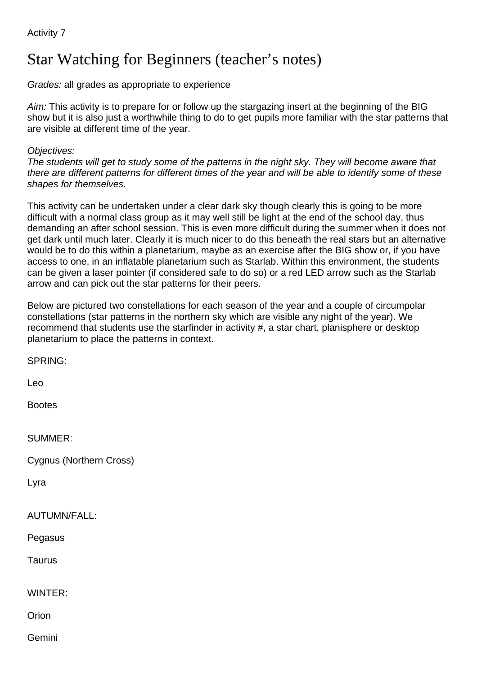## Star Watching for Beginners (teacher's notes)

*Grades:* all grades as appropriate to experience

*Aim:* This activity is to prepare for or follow up the stargazing insert at the beginning of the BIG show but it is also just a worthwhile thing to do to get pupils more familiar with the star patterns that are visible at different time of the year.

#### *Objectives:*

*The students will get to study some of the patterns in the night sky. They will become aware that there are different patterns for different times of the year and will be able to identify some of these shapes for themselves.*

This activity can be undertaken under a clear dark sky though clearly this is going to be more difficult with a normal class group as it may well still be light at the end of the school day, thus demanding an after school session. This is even more difficult during the summer when it does not get dark until much later. Clearly it is much nicer to do this beneath the real stars but an alternative would be to do this within a planetarium, maybe as an exercise after the BIG show or, if you have access to one, in an inflatable planetarium such as Starlab. Within this environment, the students can be given a laser pointer (if considered safe to do so) or a red LED arrow such as the Starlab arrow and can pick out the star patterns for their peers.

Below are pictured two constellations for each season of the year and a couple of circumpolar constellations (star patterns in the northern sky which are visible any night of the year). We recommend that students use the starfinder in activity #, a star chart, planisphere or desktop planetarium to place the patterns in context.

SPRING: Leo Bootes SUMMER: Cygnus (Northern Cross) Lyra AUTUMN/FALL: Pegasus Taurus WINTER: **Orion** Gemini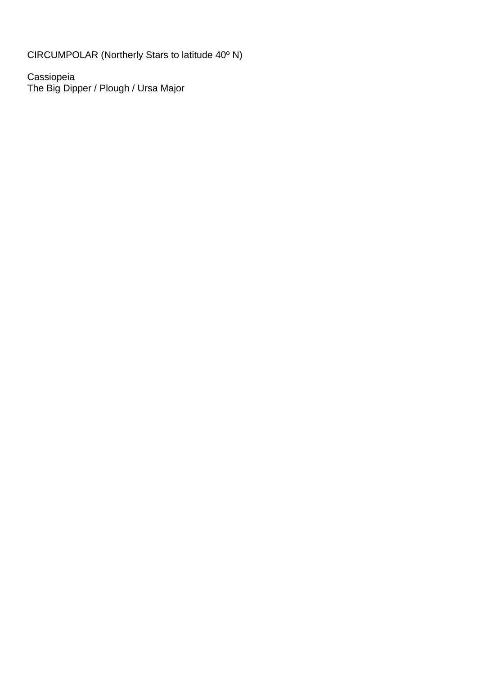CIRCUMPOLAR (Northerly Stars to latitude 40º N)

Cassiopeia The Big Dipper / Plough / Ursa Major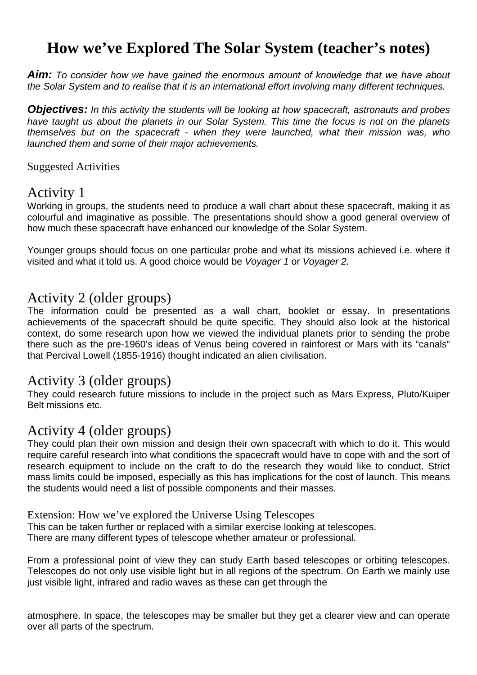## **How we've Explored The Solar System (teacher's notes)**

*Aim: To consider how we have gained the enormous amount of knowledge that we have about the Solar System and to realise that it is an international effort involving many different techniques.*

*Objectives: In this activity the students will be looking at how spacecraft, astronauts and probes have taught us about the planets in our Solar System. This time the focus is not on the planets themselves but on the spacecraft - when they were launched, what their mission was, who launched them and some of their major achievements.*

Suggested Activities

## Activity 1

Working in groups, the students need to produce a wall chart about these spacecraft, making it as colourful and imaginative as possible. The presentations should show a good general overview of how much these spacecraft have enhanced our knowledge of the Solar System.

Younger groups should focus on one particular probe and what its missions achieved i.e. where it visited and what it told us. A good choice would be *Voyager 1* or *Voyager 2.*

## Activity 2 (older groups)

The information could be presented as a wall chart, booklet or essay. In presentations achievements of the spacecraft should be quite specific. They should also look at the historical context, do some research upon how we viewed the individual planets prior to sending the probe there such as the pre-1960's ideas of Venus being covered in rainforest or Mars with its "canals" that Percival Lowell (1855-1916) thought indicated an alien civilisation.

## Activity 3 (older groups)

They could research future missions to include in the project such as Mars Express, Pluto/Kuiper Belt missions etc.

## Activity 4 (older groups)

They could plan their own mission and design their own spacecraft with which to do it. This would require careful research into what conditions the spacecraft would have to cope with and the sort of research equipment to include on the craft to do the research they would like to conduct. Strict mass limits could be imposed, especially as this has implications for the cost of launch. This means the students would need a list of possible components and their masses.

Extension: How we've explored the Universe Using Telescopes

This can be taken further or replaced with a similar exercise looking at telescopes.

There are many different types of telescope whether amateur or professional.

From a professional point of view they can study Earth based telescopes or orbiting telescopes. Telescopes do not only use visible light but in all regions of the spectrum. On Earth we mainly use just visible light, infrared and radio waves as these can get through the

atmosphere. In space, the telescopes may be smaller but they get a clearer view and can operate over all parts of the spectrum.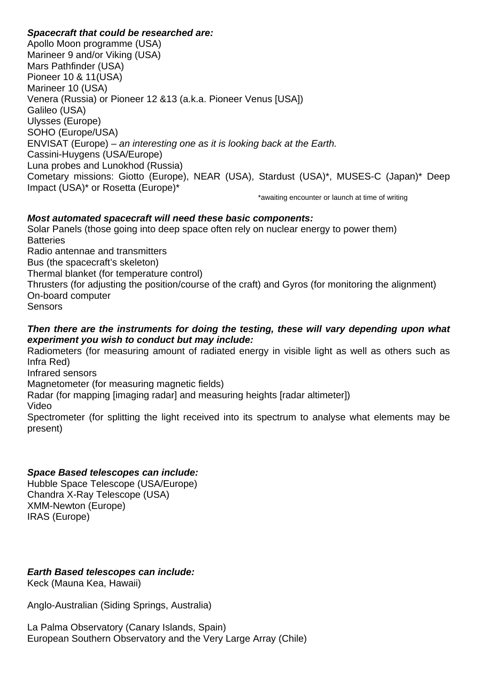#### *Spacecraft that could be researched are:*

Apollo Moon programme (USA) Marineer 9 and/or Viking (USA) Mars Pathfinder (USA) Pioneer 10 & 11(USA) Marineer 10 (USA) Venera (Russia) or Pioneer 12 &13 (a.k.a. Pioneer Venus [USA]) Galileo (USA) Ulysses (Europe) SOHO (Europe/USA) ENVISAT (Europe) – *an interesting one as it is looking back at the Earth.* Cassini-Huygens (USA/Europe) Luna probes and Lunokhod (Russia) Cometary missions: Giotto (Europe), NEAR (USA), Stardust (USA)\*, MUSES-C (Japan)\* Deep Impact (USA)\* or Rosetta (Europe)\*

\*awaiting encounter or launch at time of writing

### *Most automated spacecraft will need these basic components:*

Solar Panels (those going into deep space often rely on nuclear energy to power them) **Batteries** Radio antennae and transmitters Bus (the spacecraft's skeleton) Thermal blanket (for temperature control) Thrusters (for adjusting the position/course of the craft) and Gyros (for monitoring the alignment) On-board computer **Sensors** 

#### *Then there are the instruments for doing the testing, these will vary depending upon what experiment you wish to conduct but may include:*

Radiometers (for measuring amount of radiated energy in visible light as well as others such as Infra Red)

Infrared sensors

Magnetometer (for measuring magnetic fields)

Radar (for mapping [imaging radar] and measuring heights [radar altimeter])

Video

Spectrometer (for splitting the light received into its spectrum to analyse what elements may be present)

### *Space Based telescopes can include:*

Hubble Space Telescope (USA/Europe) Chandra X-Ray Telescope (USA) XMM-Newton (Europe) IRAS (Europe)

### *Earth Based telescopes can include:*

Keck (Mauna Kea, Hawaii)

Anglo-Australian (Siding Springs, Australia)

La Palma Observatory (Canary Islands, Spain) European Southern Observatory and the Very Large Array (Chile)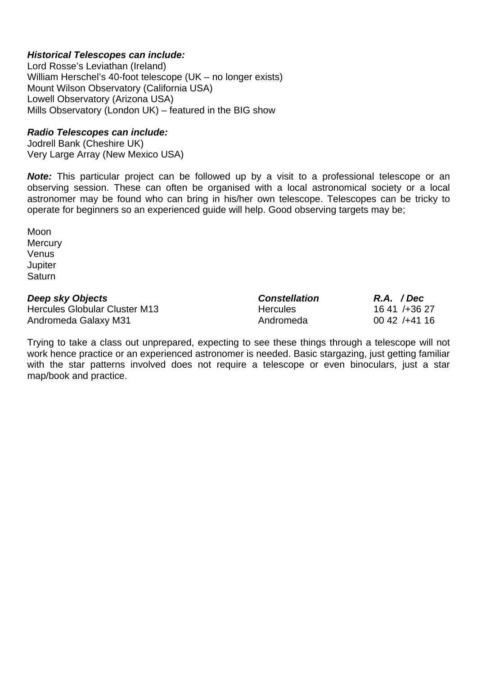#### *Historical Telescopes can include:*

Lord Rosse's Leviathan (Ireland) William Herschel's 40-foot telescope (UK – no longer exists) Mount Wilson Observatory (California USA) Lowell Observatory (Arizona USA) Mills Observatory (London UK) – featured in the BIG show

#### *Radio Telescopes can include:*

Jodrell Bank (Cheshire UK) Very Large Array (New Mexico USA)

**Note:** This particular project can be followed up by a visit to a professional telescope or an observing session. These can often be organised with a local astronomical society or a local astronomer may be found who can bring in his/her own telescope. Telescopes can be tricky to operate for beginners so an experienced guide will help. Good observing targets may be;

Moon **Mercury** Venus **Jupiter Saturn** 

| Deep sky Objects              | <b>Constellation</b> | R.A. / Dec      |
|-------------------------------|----------------------|-----------------|
| Hercules Globular Cluster M13 | <b>Hercules</b>      | 16 41 / + 36 27 |
| Andromeda Galaxy M31          | Andromeda            | $0042$ /+41 16  |

Trying to take a class out unprepared, expecting to see these things through a telescope will not work hence practice or an experienced astronomer is needed. Basic stargazing, just getting familiar with the star patterns involved does not require a telescope or even binoculars, just a star map/book and practice.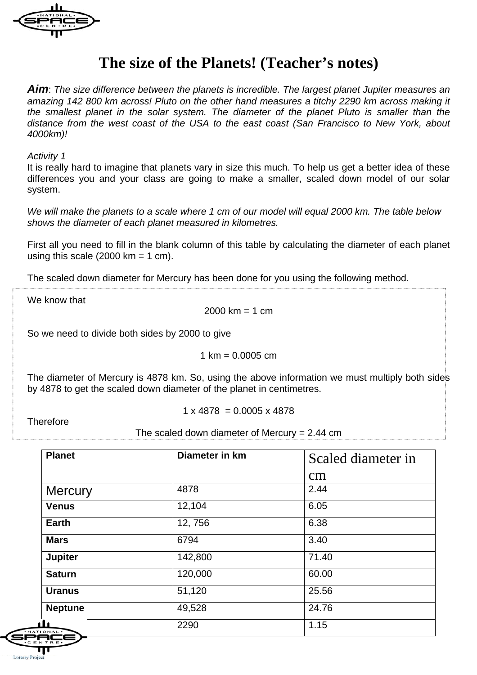

## **The size of the Planets! (Teacher's notes)**

*Aim*: *The size difference between the planets is incredible. The largest planet Jupiter measures an amazing 142 800 km across! Pluto on the other hand measures a titchy 2290 km across making it the smallest planet in the solar system. The diameter of the planet Pluto is smaller than the distance from the west coast of the USA to the east coast (San Francisco to New York, about 4000km)!*

#### *Activity 1*

It is really hard to imagine that planets vary in size this much. To help us get a better idea of these differences you and your class are going to make a smaller, scaled down model of our solar system.

*We will make the planets to a scale where 1 cm of our model will equal 2000 km. The table below shows the diameter of each planet measured in kilometres.*

First all you need to fill in the blank column of this table by calculating the diameter of each planet using this scale  $(2000 \text{ km} = 1 \text{ cm})$ .

The scaled down diameter for Mercury has been done for you using the following method.

We know that

 $2000 \text{ km} = 1 \text{ cm}$ 

So we need to divide both sides by 2000 to give

 $1 \text{ km} = 0.0005 \text{ cm}$ 

The diameter of Mercury is 4878 km. So, using the above information we must multiply both sides by 4878 to get the scaled down diameter of the planet in centimetres.

 $1 \times 4878 = 0.0005 \times 4878$ 

**Therefore** 

The scaled down diameter of Mercury  $= 2.44$  cm

| <b>Planet</b>  | Diameter in km | Scaled diameter in |
|----------------|----------------|--------------------|
|                |                | $\rm cm$           |
| <b>Mercury</b> | 4878           | 2.44               |
| <b>Venus</b>   | 12,104         | 6.05               |
| <b>Earth</b>   | 12,756         | 6.38               |
| <b>Mars</b>    | 6794           | 3.40               |
| <b>Jupiter</b> | 142,800        | 71.40              |
| <b>Saturn</b>  | 120,000        | 60.00              |
| <b>Uranus</b>  | 51,120         | 25.56              |
| <b>Neptune</b> | 49,528         | 24.76              |
| next<br>ACE    | 2290           | 1.15               |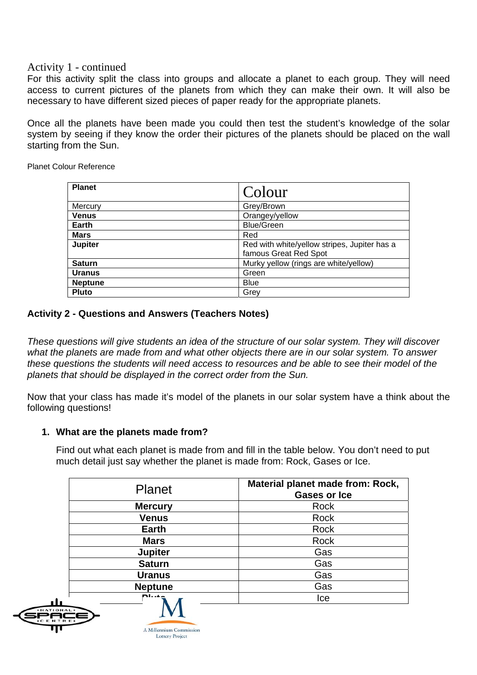#### Activity 1 - continued

For this activity split the class into groups and allocate a planet to each group. They will need access to current pictures of the planets from which they can make their own. It will also be necessary to have different sized pieces of paper ready for the appropriate planets.

Once all the planets have been made you could then test the student's knowledge of the solar system by seeing if they know the order their pictures of the planets should be placed on the wall starting from the Sun.

Planet Colour Reference

| <b>Planet</b>  | Colour                                                                |
|----------------|-----------------------------------------------------------------------|
| Mercury        | Grey/Brown                                                            |
| <b>Venus</b>   | Orangey/yellow                                                        |
| Earth          | <b>Blue/Green</b>                                                     |
| <b>Mars</b>    | Red                                                                   |
| <b>Jupiter</b> | Red with white/yellow stripes, Jupiter has a<br>famous Great Red Spot |
| <b>Saturn</b>  | Murky yellow (rings are white/yellow)                                 |
| <b>Uranus</b>  | Green                                                                 |
| <b>Neptune</b> | <b>Blue</b>                                                           |
| <b>Pluto</b>   | Grey                                                                  |

#### **Activity 2 - Questions and Answers (Teachers Notes)**

*These questions will give students an idea of the structure of our solar system. They will discover what the planets are made from and what other objects there are in our solar system. To answer these questions the students will need access to resources and be able to see their model of the planets that should be displayed in the correct order from the Sun.*

Now that your class has made it's model of the planets in our solar system have a think about the following questions!

#### **1. What are the planets made from?**

Find out what each planet is made from and fill in the table below. You don't need to put much detail just say whether the planet is made from: Rock, Gases or Ice.

| <b>Planet</b>           | Material planet made from: Rock,<br><b>Gases or Ice</b> |
|-------------------------|---------------------------------------------------------|
| <b>Mercury</b>          | Rock                                                    |
| <b>Venus</b>            | Rock                                                    |
| <b>Earth</b>            | Rock                                                    |
| <b>Mars</b>             | Rock                                                    |
| <b>Jupiter</b>          | Gas                                                     |
| <b>Saturn</b>           | Gas                                                     |
| <b>Uranus</b>           | Gas                                                     |
| <b>Neptune</b>          | Gas                                                     |
| D1.44<br>$\overline{1}$ | Ice                                                     |





**Lottery Project**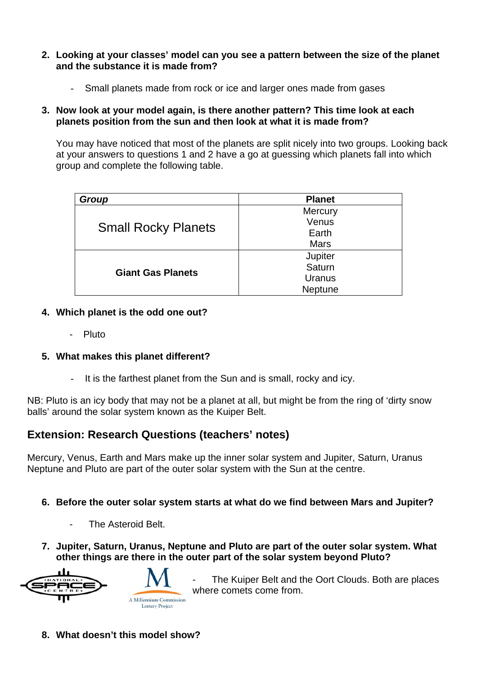- **2. Looking at your classes' model can you see a pattern between the size of the planet and the substance it is made from?**
	- Small planets made from rock or ice and larger ones made from gases

#### **3. Now look at your model again, is there another pattern? This time look at each planets position from the sun and then look at what it is made from?**

You may have noticed that most of the planets are split nicely into two groups. Looking back at your answers to questions 1 and 2 have a go at guessing which planets fall into which group and complete the following table.

| Group                      | <b>Planet</b> |
|----------------------------|---------------|
| <b>Small Rocky Planets</b> | Mercury       |
|                            | Venus         |
|                            | Earth         |
|                            | <b>Mars</b>   |
|                            | Jupiter       |
|                            | Saturn        |
| <b>Giant Gas Planets</b>   | Uranus        |
|                            | Neptune       |

### **4. Which planet is the odd one out?**

- Pluto

### **5. What makes this planet different?**

It is the farthest planet from the Sun and is small, rocky and icy.

NB: Pluto is an icy body that may not be a planet at all, but might be from the ring of 'dirty snow balls' around the solar system known as the Kuiper Belt.

## **Extension: Research Questions (teachers' notes)**

Mercury, Venus, Earth and Mars make up the inner solar system and Jupiter, Saturn, Uranus Neptune and Pluto are part of the outer solar system with the Sun at the centre.

### **6. Before the outer solar system starts at what do we find between Mars and Jupiter?**

- The Asteroid Belt.
- **7. Jupiter, Saturn, Uranus, Neptune and Pluto are part of the outer solar system. What other things are there in the outer part of the solar system beyond Pluto?**



The Kuiper Belt and the Oort Clouds. Both are places where comets come from.

**8. What doesn't this model show?**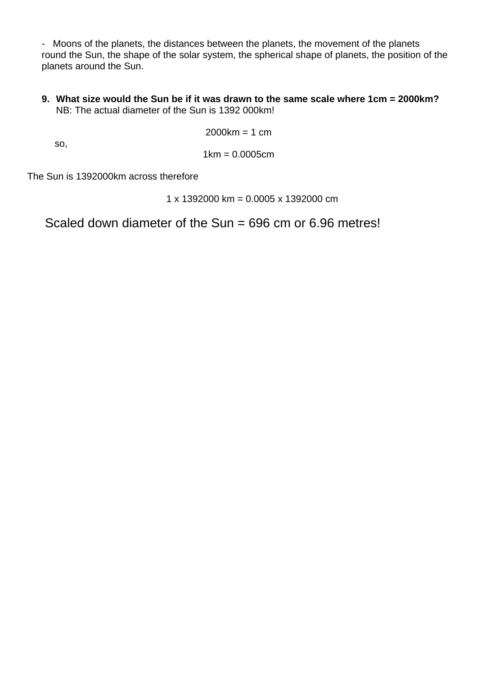- Moons of the planets, the distances between the planets, the movement of the planets round the Sun, the shape of the solar system, the spherical shape of planets, the position of the planets around the Sun.

**9. What size would the Sun be if it was drawn to the same scale where 1cm = 2000km?** NB: The actual diameter of the Sun is 1392 000km!

 $2000km = 1 cm$ 

so,

1km = 0.0005cm

The Sun is 1392000km across therefore

1 x 1392000 km = 0.0005 x 1392000 cm

Scaled down diameter of the Sun = 696 cm or 6.96 metres!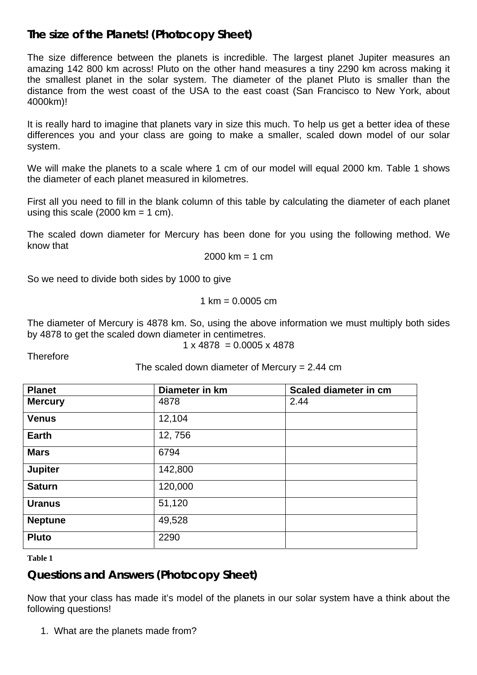### **The size of the Planets! (Photocopy Sheet)**

The size difference between the planets is incredible. The largest planet Jupiter measures an amazing 142 800 km across! Pluto on the other hand measures a tiny 2290 km across making it the smallest planet in the solar system. The diameter of the planet Pluto is smaller than the distance from the west coast of the USA to the east coast (San Francisco to New York, about 4000km)!

It is really hard to imagine that planets vary in size this much. To help us get a better idea of these differences you and your class are going to make a smaller, scaled down model of our solar system.

We will make the planets to a scale where 1 cm of our model will equal 2000 km. Table 1 shows the diameter of each planet measured in kilometres.

First all you need to fill in the blank column of this table by calculating the diameter of each planet using this scale  $(2000 \text{ km} = 1 \text{ cm})$ .

The scaled down diameter for Mercury has been done for you using the following method. We know that

$$
2000 \, \text{km} = 1 \, \text{cm}
$$

So we need to divide both sides by 1000 to give

 $1 \text{ km} = 0.0005 \text{ cm}$ 

The diameter of Mercury is 4878 km. So, using the above information we must multiply both sides by 4878 to get the scaled down diameter in centimetres.

$$
1 \times 4878 = 0.0005 \times 4878
$$

**Therefore** 

The scaled down diameter of Mercury  $= 2.44$  cm

| <b>Planet</b>  | Diameter in km | Scaled diameter in cm |
|----------------|----------------|-----------------------|
| <b>Mercury</b> | 4878           | 2.44                  |
| <b>Venus</b>   | 12,104         |                       |
| <b>Earth</b>   | 12,756         |                       |
| <b>Mars</b>    | 6794           |                       |
| <b>Jupiter</b> | 142,800        |                       |
| <b>Saturn</b>  | 120,000        |                       |
| <b>Uranus</b>  | 51,120         |                       |
| <b>Neptune</b> | 49,528         |                       |
| <b>Pluto</b>   | 2290           |                       |

**Table 1**

## **Questions and Answers (Photocopy Sheet)**

Now that your class has made it's model of the planets in our solar system have a think about the following questions!

1. What are the planets made from?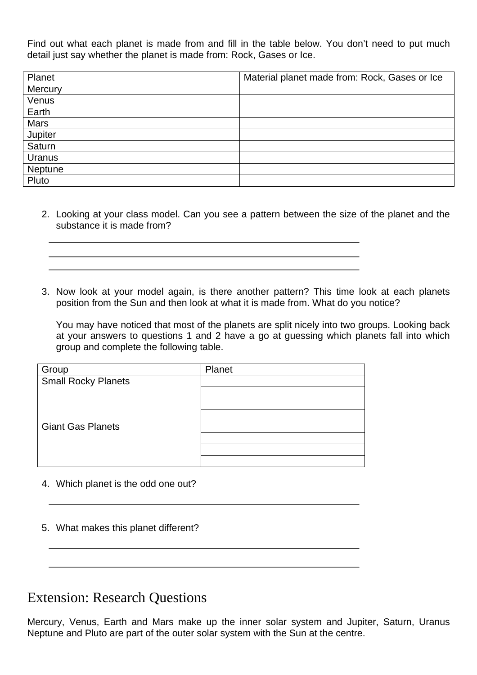Find out what each planet is made from and fill in the table below. You don't need to put much detail just say whether the planet is made from: Rock, Gases or Ice.

| Planet      | Material planet made from: Rock, Gases or Ice |
|-------------|-----------------------------------------------|
| Mercury     |                                               |
| Venus       |                                               |
| Earth       |                                               |
| <b>Mars</b> |                                               |
| Jupiter     |                                               |
| Saturn      |                                               |
| Uranus      |                                               |
| Neptune     |                                               |
| Pluto       |                                               |

- 2. Looking at your class model. Can you see a pattern between the size of the planet and the substance it is made from?
- 3. Now look at your model again, is there another pattern? This time look at each planets position from the Sun and then look at what it is made from. What do you notice?

You may have noticed that most of the planets are split nicely into two groups. Looking back at your answers to questions 1 and 2 have a go at guessing which planets fall into which group and complete the following table.

| Group                      | Planet |
|----------------------------|--------|
| <b>Small Rocky Planets</b> |        |
|                            |        |
|                            |        |
|                            |        |
| <b>Giant Gas Planets</b>   |        |
|                            |        |
|                            |        |
|                            |        |

- 4. Which planet is the odd one out?
- 5. What makes this planet different?

## Extension: Research Questions

Mercury, Venus, Earth and Mars make up the inner solar system and Jupiter, Saturn, Uranus Neptune and Pluto are part of the outer solar system with the Sun at the centre.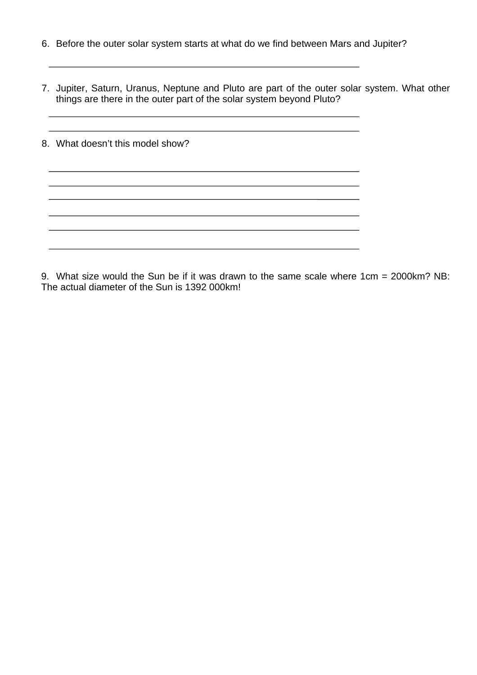- 6. Before the outer solar system starts at what do we find between Mars and Jupiter?
- 7. Jupiter, Saturn, Uranus, Neptune and Pluto are part of the outer solar system. What other things are there in the outer part of the solar system beyond Pluto?

| 8. What doesn't this model show? |
|----------------------------------|
|                                  |
|                                  |
|                                  |
|                                  |
|                                  |

9. What size would the Sun be if it was drawn to the same scale where 1cm = 2000km? NB: The actual diameter of the Sun is 1392 000km!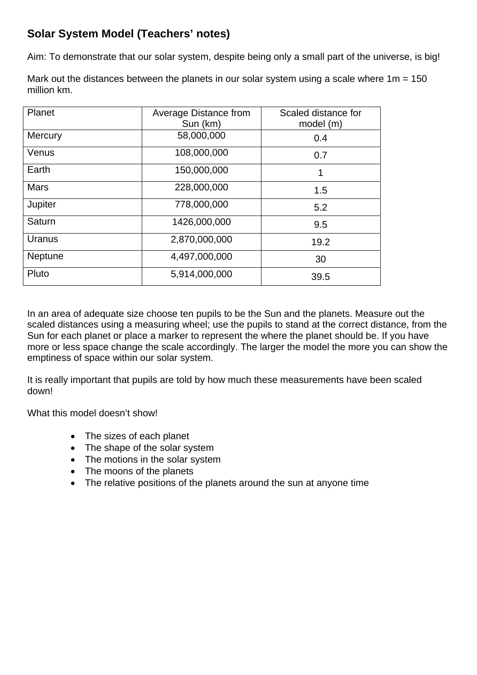## **Solar System Model (Teachers' notes)**

Aim: To demonstrate that our solar system, despite being only a small part of the universe, is big!

Mark out the distances between the planets in our solar system using a scale where  $1m = 150$ million km.

| Planet         | Average Distance from<br>Sun (km) | Scaled distance for<br>model (m) |
|----------------|-----------------------------------|----------------------------------|
| <b>Mercury</b> | 58,000,000                        | 0.4                              |
| Venus          | 108,000,000                       | 0.7                              |
| Earth          | 150,000,000                       | 1                                |
| <b>Mars</b>    | 228,000,000                       | 1.5                              |
| Jupiter        | 778,000,000                       | 5.2                              |
| Saturn         | 1426,000,000                      | 9.5                              |
| Uranus         | 2,870,000,000                     | 19.2                             |
| Neptune        | 4,497,000,000                     | 30                               |
| Pluto          | 5,914,000,000                     | 39.5                             |

In an area of adequate size choose ten pupils to be the Sun and the planets. Measure out the scaled distances using a measuring wheel; use the pupils to stand at the correct distance, from the Sun for each planet or place a marker to represent the where the planet should be. If you have more or less space change the scale accordingly. The larger the model the more you can show the emptiness of space within our solar system.

It is really important that pupils are told by how much these measurements have been scaled down!

What this model doesn't show!

- The sizes of each planet
- The shape of the solar system
- The motions in the solar system
- The moons of the planets
- The relative positions of the planets around the sun at anyone time